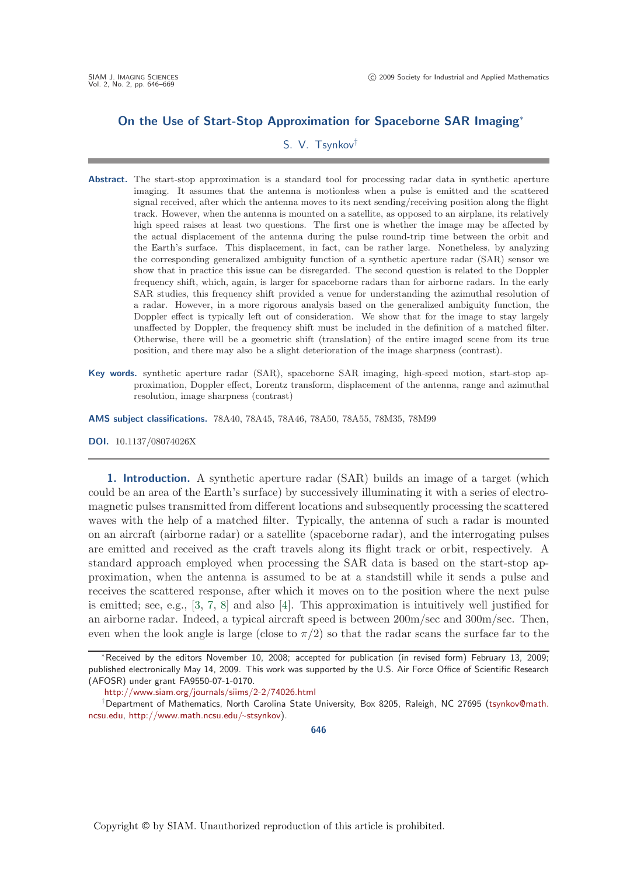# **On the Use of Start-Stop Approximation for Spaceborne SAR Imaging**<sup>∗</sup>

S. V. Tsynkov†

- **Abstract.** The start-stop approximation is a standard tool for processing radar data in synthetic aperture imaging. It assumes that the antenna is motionless when a pulse is emitted and the scattered signal received, after which the antenna moves to its next sending/receiving position along the flight track. However, when the antenna is mounted on a satellite, as opposed to an airplane, its relatively high speed raises at least two questions. The first one is whether the image may be affected by the actual displacement of the antenna during the pulse round-trip time between the orbit and the Earth's surface. This displacement, in fact, can be rather large. Nonetheless, by analyzing the corresponding generalized ambiguity function of a synthetic aperture radar (SAR) sensor we show that in practice this issue can be disregarded. The second question is related to the Doppler frequency shift, which, again, is larger for spaceborne radars than for airborne radars. In the early SAR studies, this frequency shift provided a venue for understanding the azimuthal resolution of a radar. However, in a more rigorous analysis based on the generalized ambiguity function, the Doppler effect is typically left out of consideration. We show that for the image to stay largely unaffected by Doppler, the frequency shift must be included in the definition of a matched filter. Otherwise, there will be a geometric shift (translation) of the entire imaged scene from its true position, and there may also be a slight deterioration of the image sharpness (contrast).
- **Key words.** synthetic aperture radar (SAR), spaceborne SAR imaging, high-speed motion, start-stop approximation, Doppler effect, Lorentz transform, displacement of the antenna, range and azimuthal resolution, image sharpness (contrast)

**AMS subject classifications.** 78A40, 78A45, 78A46, 78A50, 78A55, 78M35, 78M99

**DOI.** 10.1137/08074026X

**1. Introduction.** A synthetic aperture radar (SAR) builds an image of a target (which could be an area of the Earth's surface) by successively illuminating it with a series of electromagnetic pulses transmitted from different locations and subsequently processing the scattered waves with the help of a matched filter. Typically, the antenna of such a radar is mounted on an aircraft (airborne radar) or a satellite (spaceborne radar), and the interrogating pulses are emitted and received as the craft travels along its flight track or orbit, respectively. A standard approach employed when processing the SAR data is based on the start-stop approximation, when the antenna is assumed to be at a standstill while it sends a pulse and receives the scattered response, after which it moves on to the position where the next pulse is emitted; see, e.g., [\[3,](#page-23-0) [7,](#page-23-1) [8\]](#page-23-2) and also [\[4\]](#page-23-3). This approximation is intuitively well justified for an airborne radar. Indeed, a typical aircraft speed is between 200m/sec and 300m/sec. Then, even when the look angle is large (close to  $\pi/2$ ) so that the radar scans the surface far to the

**646**

<sup>∗</sup>Received by the editors November 10, 2008; accepted for publication (in revised form) February 13, 2009; published electronically May 14, 2009. This work was supported by the U.S. Air Force Office of Scientific Research (AFOSR) under grant FA9550-07-1-0170.

<http://www.siam.org/journals/siims/2-2/74026.html>

<sup>†</sup>Department of Mathematics, North Carolina State University, Box 8205, Raleigh, NC 27695 [\(tsynkov@math.](mailto:tsynkov@math.ncsu.edu) [ncsu.edu,](mailto:tsynkov@math.ncsu.edu) [http://www.math.ncsu.edu/](http://www.math.ncsu.edu/~stsynkov)∼stsynkov).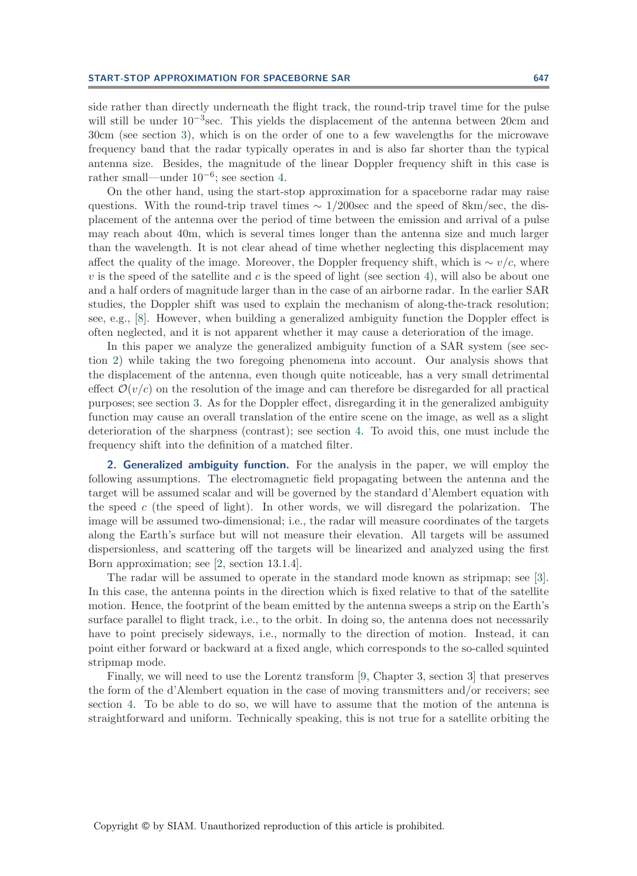side rather than directly underneath the flight track, the round-trip travel time for the pulse will still be under  $10^{-3}$ sec. This yields the displacement of the antenna between 20cm and 30cm (see section [3\)](#page-5-0), which is on the order of one to a few wavelengths for the microwave frequency band that the radar typically operates in and is also far shorter than the typical antenna size. Besides, the magnitude of the linear Doppler frequency shift in this case is rather small—under  $10^{-6}$ ; see section [4.](#page-11-0)

On the other hand, using the start-stop approximation for a spaceborne radar may raise questions. With the round-trip travel times  $\sim 1/200$ sec and the speed of 8km/sec, the displacement of the antenna over the period of time between the emission and arrival of a pulse may reach about 40m, which is several times longer than the antenna size and much larger than the wavelength. It is not clear ahead of time whether neglecting this displacement may affect the quality of the image. Moreover, the Doppler frequency shift, which is  $\sim v/c$ , where v is the speed of the satellite and c is the speed of light (see section [4\)](#page-11-0), will also be about one and a half orders of magnitude larger than in the case of an airborne radar. In the earlier SAR studies, the Doppler shift was used to explain the mechanism of along-the-track resolution; see, e.g., [\[8\]](#page-23-2). However, when building a generalized ambiguity function the Doppler effect is often neglected, and it is not apparent whether it may cause a deterioration of the image.

In this paper we analyze the generalized ambiguity function of a SAR system (see section [2\)](#page-1-0) while taking the two foregoing phenomena into account. Our analysis shows that the displacement of the antenna, even though quite noticeable, has a very small detrimental effect  $\mathcal{O}(v/c)$  on the resolution of the image and can therefore be disregarded for all practical purposes; see section [3.](#page-5-0) As for the Doppler effect, disregarding it in the generalized ambiguity function may cause an overall translation of the entire scene on the image, as well as a slight deterioration of the sharpness (contrast); see section [4.](#page-11-0) To avoid this, one must include the frequency shift into the definition of a matched filter.

<span id="page-1-0"></span>**2. Generalized ambiguity function.** For the analysis in the paper, we will employ the following assumptions. The electromagnetic field propagating between the antenna and the target will be assumed scalar and will be governed by the standard d'Alembert equation with the speed c (the speed of light). In other words, we will disregard the polarization. The image will be assumed two-dimensional; i.e., the radar will measure coordinates of the targets along the Earth's surface but will not measure their elevation. All targets will be assumed dispersionless, and scattering off the targets will be linearized and analyzed using the first Born approximation; see [\[2,](#page-23-4) section 13.1.4].

The radar will be assumed to operate in the standard mode known as stripmap; see [\[3\]](#page-23-0). In this case, the antenna points in the direction which is fixed relative to that of the satellite motion. Hence, the footprint of the beam emitted by the antenna sweeps a strip on the Earth's surface parallel to flight track, i.e., to the orbit. In doing so, the antenna does not necessarily have to point precisely sideways, i.e., normally to the direction of motion. Instead, it can point either forward or backward at a fixed angle, which corresponds to the so-called squinted stripmap mode.

Finally, we will need to use the Lorentz transform [\[9,](#page-23-5) Chapter 3, section 3] that preserves the form of the d'Alembert equation in the case of moving transmitters and/or receivers; see section [4.](#page-11-0) To be able to do so, we will have to assume that the motion of the antenna is straightforward and uniform. Technically speaking, this is not true for a satellite orbiting the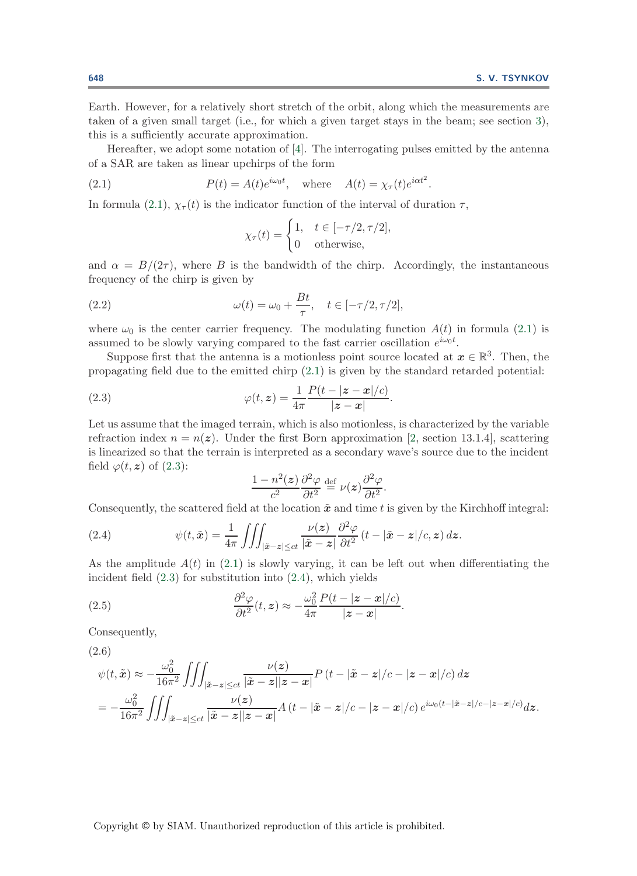Earth. However, for a relatively short stretch of the orbit, along which the measurements are taken of a given small target (i.e., for which a given target stays in the beam; see section [3\)](#page-5-0), this is a sufficiently accurate approximation.

Hereafter, we adopt some notation of [\[4\]](#page-23-3). The interrogating pulses emitted by the antenna of a SAR are taken as linear upchirps of the form

(2.1) 
$$
P(t) = A(t)e^{i\omega_0 t}, \text{ where } A(t) = \chi_\tau(t)e^{i\alpha t^2}.
$$

In formula [\(2.1\)](#page-2-0),  $\chi_{\tau}(t)$  is the indicator function of the interval of duration  $\tau$ ,

<span id="page-2-4"></span><span id="page-2-0"></span>
$$
\chi_{\tau}(t) = \begin{cases} 1, & t \in [-\tau/2, \tau/2], \\ 0 & \text{otherwise,} \end{cases}
$$

and  $\alpha = B/(2\tau)$ , where B is the bandwidth of the chirp. Accordingly, the instantaneous frequency of the chirp is given by

(2.2) 
$$
\omega(t) = \omega_0 + \frac{Bt}{\tau}, \quad t \in [-\tau/2, \tau/2],
$$

where  $\omega_0$  is the center carrier frequency. The modulating function  $A(t)$  in formula [\(2.1\)](#page-2-0) is assumed to be slowly varying compared to the fast carrier oscillation  $e^{i\omega_0 t}$ .

Suppose first that the antenna is a motionless point source located at  $x \in \mathbb{R}^3$ . Then, the propagating field due to the emitted chirp  $(2.1)$  is given by the standard retarded potential:

(2.3) 
$$
\varphi(t, z) = \frac{1}{4\pi} \frac{P(t - |z - x|/c)}{|z - x|}.
$$

Let us assume that the imaged terrain, which is also motionless, is characterized by the variable refraction index  $n = n(z)$ . Under the first Born approximation [\[2,](#page-23-4) section 13.1.4], scattering is linearized so that the terrain is interpreted as a secondary wave's source due to the incident field  $\varphi(t, z)$  of [\(2.3\)](#page-2-1):

<span id="page-2-5"></span><span id="page-2-2"></span><span id="page-2-1"></span>
$$
\frac{1 - n^2(z)}{c^2} \frac{\partial^2 \varphi}{\partial t^2} \stackrel{\text{def}}{=} \nu(z) \frac{\partial^2 \varphi}{\partial t^2}.
$$

Consequently, the scattered field at the location  $\tilde{x}$  and time t is given by the Kirchhoff integral:

(2.4) 
$$
\psi(t, \tilde{x}) = \frac{1}{4\pi} \iiint_{|\tilde{x} - z| \le ct} \frac{\nu(z)}{|\tilde{x} - z|} \frac{\partial^2 \varphi}{\partial t^2} (t - |\tilde{x} - z|/c, z) dz.
$$

As the amplitude  $A(t)$  in [\(2.1\)](#page-2-0) is slowly varying, it can be left out when differentiating the incident field [\(2.3\)](#page-2-1) for substitution into [\(2.4\)](#page-2-2), which yields

(2.5) 
$$
\frac{\partial^2 \varphi}{\partial t^2}(t, z) \approx -\frac{\omega_0^2}{4\pi} \frac{P(t - |z - x|/c)}{|z - x|}.
$$

Consequently,

(2.6)

<span id="page-2-3"></span>
$$
\begin{split} &\psi(t,\tilde{\pmb{x}})\approx-\frac{\omega_0^2}{16\pi^2}\iiint_{\vert\tilde{\pmb{x}}-\pmb{z}\vert\leq ct}\frac{\nu(\pmb{z})}{\vert\tilde{\pmb{x}}-\pmb{z}\vert\vert\pmb{z}-\pmb{x}\vert}P\left(t-\vert\tilde{\pmb{x}}-\pmb{z}\vert/c-\vert\pmb{z}-\pmb{x}\vert/c\right)d\pmb{z}\\ &=-\frac{\omega_0^2}{16\pi^2}\iiint_{\vert\tilde{\pmb{x}}-\pmb{z}\vert\leq ct}\frac{\nu(\pmb{z})}{\vert\tilde{\pmb{x}}-\pmb{z}\vert\vert\pmb{z}-\pmb{x}\vert}A\left(t-\vert\tilde{\pmb{x}}-\pmb{z}\vert/c-\vert\pmb{z}-\pmb{x}\vert/c\right)e^{i\omega_0(t-\vert\tilde{\pmb{x}}-\pmb{z}\vert/c-\vert\pmb{z}-\pmb{x}\vert/c)}d\pmb{z}. \end{split}
$$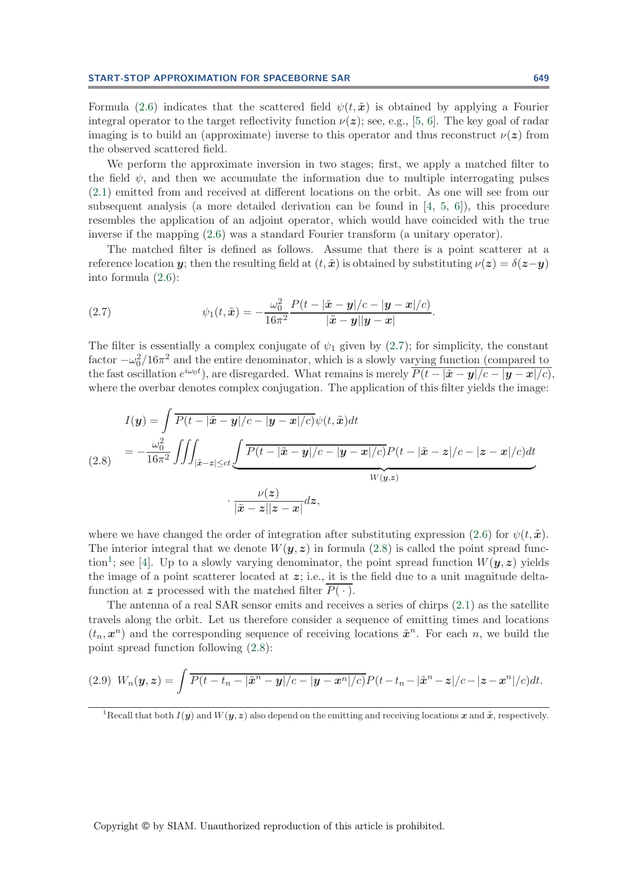Formula [\(2.6\)](#page-2-3) indicates that the scattered field  $\psi(t, \tilde{x})$  is obtained by applying a Fourier integral operator to the target reflectivity function  $\nu(z)$ ; see, e.g., [\[5,](#page-23-6) [6\]](#page-23-7). The key goal of radar imaging is to build an (approximate) inverse to this operator and thus reconstruct  $\nu(z)$  from the observed scattered field.

We perform the approximate inversion in two stages; first, we apply a matched filter to the field  $\psi$ , and then we accumulate the information due to multiple interrogating pulses [\(2.1\)](#page-2-0) emitted from and received at different locations on the orbit. As one will see from our subsequent analysis (a more detailed derivation can be found in [\[4,](#page-23-3) [5,](#page-23-6) [6\]](#page-23-7)), this procedure resembles the application of an adjoint operator, which would have coincided with the true inverse if the mapping [\(2.6\)](#page-2-3) was a standard Fourier transform (a unitary operator).

The matched filter is defined as follows. Assume that there is a point scatterer at a reference location *y*; then the resulting field at  $(t, \tilde{x})$  is obtained by substituting  $\nu(z) = \delta(z - y)$ into formula [\(2.6\)](#page-2-3):

<span id="page-3-0"></span>(2.7) 
$$
\psi_1(t, \tilde{x}) = -\frac{\omega_0^2}{16\pi^2} \frac{P(t - |\tilde{x} - y|/c - |y - x|/c)}{|\tilde{x} - y||y - x|}.
$$

The filter is essentially a complex conjugate of  $\psi_1$  given by [\(2.7\)](#page-3-0); for simplicity, the constant factor  $-\omega_0^2/16\pi^2$  and the entire denominator, which is a slowly varying function (compared to the fast oscillation  $e^{i\omega_0 t}$ , are disregarded. What remains is merely  $\overline{P(t-|\tilde{x}-y|/c-|y-x|/c)}$ , where the overbar denotes complex conjugation. The application of this filter yields the image:

<span id="page-3-1"></span>
$$
I(\mathbf{y}) = \int \overline{P(t - |\tilde{\mathbf{x}} - \mathbf{y}|/c - |\mathbf{y} - \mathbf{x}|/c)} \psi(t, \tilde{\mathbf{x}}) dt
$$
  
(2.8)
$$
= -\frac{\omega_0^2}{16\pi^2} \iiint_{|\tilde{\mathbf{x}} - \mathbf{z}| \le ct} \underbrace{\int \overline{P(t - |\tilde{\mathbf{x}} - \mathbf{y}|/c - |\mathbf{y} - \mathbf{x}|/c)} P(t - |\tilde{\mathbf{x}} - \mathbf{z}|/c - |\mathbf{z} - \mathbf{x}|/c)}_{W(\mathbf{y}, \mathbf{z})} \cdot \frac{\nu(\mathbf{z})}{|\tilde{\mathbf{x}} - \mathbf{z}| |\mathbf{z} - \mathbf{x}|} dz,
$$

where we have changed the order of integration after substituting expression [\(2.6\)](#page-2-3) for  $\psi(t,\tilde{x})$ . The interior integral that we denote  $W(y, z)$  in formula [\(2.8\)](#page-3-1) is called the point spread func-tion<sup>[1](#page-3-2)</sup>; see [\[4\]](#page-23-3). Up to a slowly varying denominator, the point spread function  $W(y, z)$  yields the image of a point scatterer located at z; i.e., it is the field due to a unit magnitude deltafunction at z processed with the matched filter  $P(\cdot)$ .

The antenna of a real SAR sensor emits and receives a series of chirps [\(2.1\)](#page-2-0) as the satellite travels along the orbit. Let us therefore consider a sequence of emitting times and locations  $(t_n, x^n)$  and the corresponding sequence of receiving locations  $\tilde{x}^n$ . For each n, we build the point spread function following [\(2.8\)](#page-3-1):

$$
(2.9) \ W_n(\boldsymbol{y},\boldsymbol{z}) = \int \overline{P(t-t_n-|\tilde{\boldsymbol{x}}^n-\boldsymbol{y}|/c-|\boldsymbol{y}-\boldsymbol{x}^n|/c)} P(t-t_n-|\tilde{\boldsymbol{x}}^n-\boldsymbol{z}|/c-|\boldsymbol{z}-\boldsymbol{x}^n|/c) dt.
$$

<span id="page-3-3"></span><span id="page-3-2"></span><sup>1</sup>Recall that both  $I(\mathbf{y})$  and  $W(\mathbf{y}, z)$  also depend on the emitting and receiving locations  $x$  and  $\tilde{x}$ , respectively.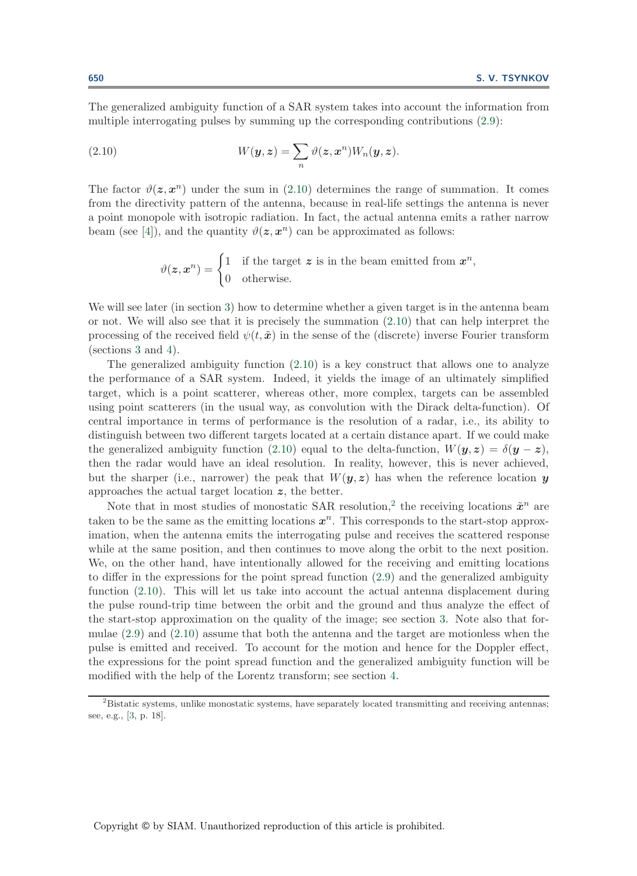The generalized ambiguity function of a SAR system takes into account the information from multiple interrogating pulses by summing up the corresponding contributions [\(2.9\)](#page-3-3):

(2.10) 
$$
W(\mathbf{y}, \mathbf{z}) = \sum_{n} \vartheta(\mathbf{z}, \mathbf{x}^{n}) W_{n}(\mathbf{y}, \mathbf{z}).
$$

The factor  $\vartheta(z, x^n)$  under the sum in [\(2.10\)](#page-4-0) determines the range of summation. It comes from the directivity pattern of the antenna, because in real-life settings the antenna is never a point monopole with isotropic radiation. In fact, the actual antenna emits a rather narrow beam (see [\[4\]](#page-23-3)), and the quantity  $\vartheta(z, x^n)$  can be approximated as follows:

<span id="page-4-0"></span>
$$
\vartheta(\boldsymbol{z}, \boldsymbol{x}^n) = \begin{cases} 1 & \text{if the target } \boldsymbol{z} \text{ is in the beam emitted from } \boldsymbol{x}^n, \\ 0 & \text{otherwise.} \end{cases}
$$

We will see later (in section [3\)](#page-5-0) how to determine whether a given target is in the antenna beam or not. We will also see that it is precisely the summation [\(2.10\)](#page-4-0) that can help interpret the processing of the received field  $\psi(t, \tilde{x})$  in the sense of the (discrete) inverse Fourier transform (sections [3](#page-5-0) and [4\)](#page-11-0).

The generalized ambiguity function  $(2.10)$  is a key construct that allows one to analyze the performance of a SAR system. Indeed, it yields the image of an ultimately simplified target, which is a point scatterer, whereas other, more complex, targets can be assembled using point scatterers (in the usual way, as convolution with the Dirack delta-function). Of central importance in terms of performance is the resolution of a radar, i.e., its ability to distinguish between two different targets located at a certain distance apart. If we could make the generalized ambiguity function [\(2.10\)](#page-4-0) equal to the delta-function,  $W(y, z) = \delta(y - z)$ , then the radar would have an ideal resolution. In reality, however, this is never achieved, but the sharper (i.e., narrower) the peak that  $W(y, z)$  has when the reference location *y* approaches the actual target location *z*, the better.

Note that in most studies of monostatic SAR resolution,<sup>[2](#page-4-1)</sup> the receiving locations  $\tilde{x}^n$  are taken to be the same as the emitting locations  $x^n$ . This corresponds to the start-stop approximation, when the antenna emits the interrogating pulse and receives the scattered response while at the same position, and then continues to move along the orbit to the next position. We, on the other hand, have intentionally allowed for the receiving and emitting locations to differ in the expressions for the point spread function [\(2.9\)](#page-3-3) and the generalized ambiguity function [\(2.10\)](#page-4-0). This will let us take into account the actual antenna displacement during the pulse round-trip time between the orbit and the ground and thus analyze the effect of the start-stop approximation on the quality of the image; see section [3.](#page-5-0) Note also that formulae [\(2.9\)](#page-3-3) and [\(2.10\)](#page-4-0) assume that both the antenna and the target are motionless when the pulse is emitted and received. To account for the motion and hence for the Doppler effect, the expressions for the point spread function and the generalized ambiguity function will be modified with the help of the Lorentz transform; see section [4.](#page-11-0)

<span id="page-4-1"></span><sup>&</sup>lt;sup>2</sup>Bistatic systems, unlike monostatic systems, have separately located transmitting and receiving antennas; see, e.g., [\[3,](#page-23-0) p. 18].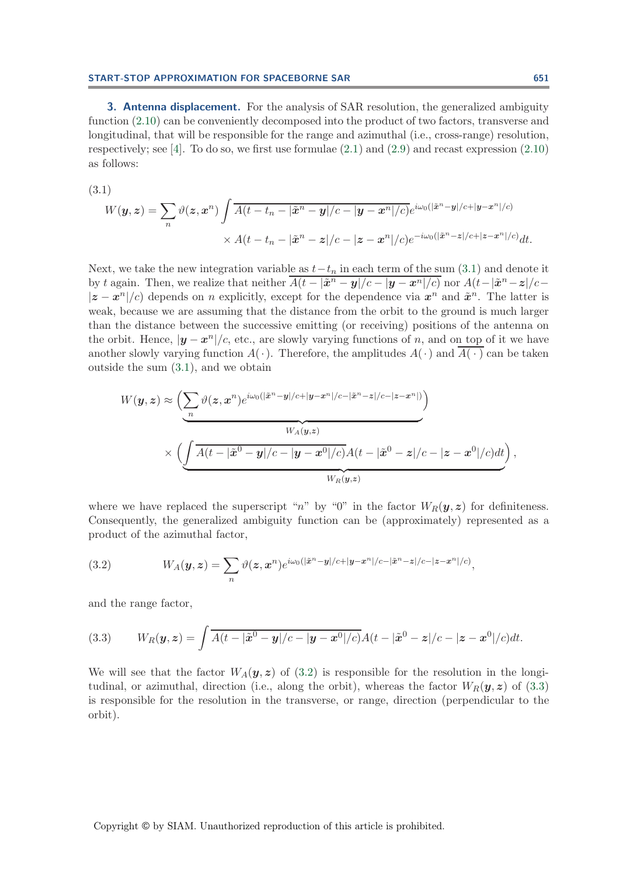### **START-STOP APPROXIMATION FOR SPACEBORNE SAR 651**

<span id="page-5-0"></span>**3. Antenna displacement.** For the analysis of SAR resolution, the generalized ambiguity function [\(2.10\)](#page-4-0) can be conveniently decomposed into the product of two factors, transverse and longitudinal, that will be responsible for the range and azimuthal (i.e., cross-range) resolution, respectively; see [\[4\]](#page-23-3). To do so, we first use formulae  $(2.1)$  and  $(2.9)$  and recast expression  $(2.10)$ as follows:

(3.1)

<span id="page-5-1"></span>
$$
W(\mathbf{y}, \mathbf{z}) = \sum_{n} \vartheta(\mathbf{z}, \mathbf{x}^{n}) \int \overline{A(t - t_{n} - |\tilde{\mathbf{x}}^{n} - \mathbf{y}|/c - |\mathbf{y} - \mathbf{x}^{n}|/c)} e^{i\omega_{0}(|\tilde{\mathbf{x}}^{n} - \mathbf{y}|/c + |\mathbf{y} - \mathbf{x}^{n}|/c)}
$$

$$
\times A(t - t_{n} - |\tilde{\mathbf{x}}^{n} - \mathbf{z}|/c - |\mathbf{z} - \mathbf{x}^{n}|/c)e^{-i\omega_{0}(|\tilde{\mathbf{x}}^{n} - \mathbf{z}|/c + |\mathbf{z} - \mathbf{x}^{n}|/c)} dt.
$$

Next, we take the new integration variable as  $t-t_n$  in each term of the sum [\(3.1\)](#page-5-1) and denote it by t again. Then, we realize that neither  $\overline{A(t - |\tilde{x}^n - y|/c - |y - x^n|/c)}$  nor  $A(t - |\tilde{x}^n - z|/c |z - x^n|/c$  depends on *n* explicitly, except for the dependence via  $x^n$  and  $\tilde{x}^n$ . The latter is weak, because we are assuming that the distance from the orbit to the ground is much larger than the distance between the successive emitting (or receiving) positions of the antenna on the orbit. Hence,  $|\mathbf{y}-\mathbf{x}^n|/c$ , etc., are slowly varying functions of n, and on top of it we have another slowly varying function  $A(\cdot)$ . Therefore, the amplitudes  $A(\cdot)$  and  $A(\cdot)$  can be taken outside the sum [\(3.1\)](#page-5-1), and we obtain

$$
W(\mathbf{y},\mathbf{z}) \approx \left(\underbrace{\sum_{n} \vartheta(\mathbf{z},\mathbf{x}^{n}) e^{i\omega_{0}(|\tilde{\mathbf{x}}^{n}-\mathbf{y}|/c+|\mathbf{y}-\mathbf{x}^{n}|/c-|\tilde{\mathbf{x}}^{n}-\mathbf{z}|/c-|\mathbf{z}-\mathbf{x}^{n}|)}_{W_{A}(\mathbf{y},\mathbf{z})}}_{\times \left(\underbrace{\int \overline{A(t-|\tilde{\mathbf{x}}^{0}-\mathbf{y}|/c-|\mathbf{y}-\mathbf{x}^{0}|/c)} A(t-|\tilde{\mathbf{x}}^{0}-\mathbf{z}|/c-|\mathbf{z}-\mathbf{x}^{0}|/c)}_{W_{R}(\mathbf{y},\mathbf{z})}}_{W_{R}(\mathbf{y},\mathbf{z})}\right),
$$

where we have replaced the superscript "n" by "0" in the factor  $W_R(\boldsymbol{y}, \boldsymbol{z})$  for definiteness. Consequently, the generalized ambiguity function can be (approximately) represented as a product of the azimuthal factor,

<span id="page-5-2"></span>(3.2) 
$$
W_A(\mathbf{y}, z) = \sum_n \vartheta(z, x^n) e^{i\omega_0(|\tilde{x}^n - \mathbf{y}|/c + |\mathbf{y} - x^n|/c - |\tilde{x}^n - z|/c - |z - x^n|/c)},
$$

<span id="page-5-3"></span>and the range factor,

(3.3) 
$$
W_R(\mathbf{y}, \mathbf{z}) = \int \overline{A(t - |\tilde{\mathbf{x}}^0 - \mathbf{y}|/c - |\mathbf{y} - \mathbf{x}^0|/c)} A(t - |\tilde{\mathbf{x}}^0 - \mathbf{z}|/c - |\mathbf{z} - \mathbf{x}^0|/c) dt.
$$

We will see that the factor  $W_A(\mathbf{y}, \mathbf{z})$  of [\(3.2\)](#page-5-2) is responsible for the resolution in the longitudinal, or azimuthal, direction (i.e., along the orbit), whereas the factor  $W_R(\bm{y}, \bm{z})$  of [\(3.3\)](#page-5-3) is responsible for the resolution in the transverse, or range, direction (perpendicular to the orbit).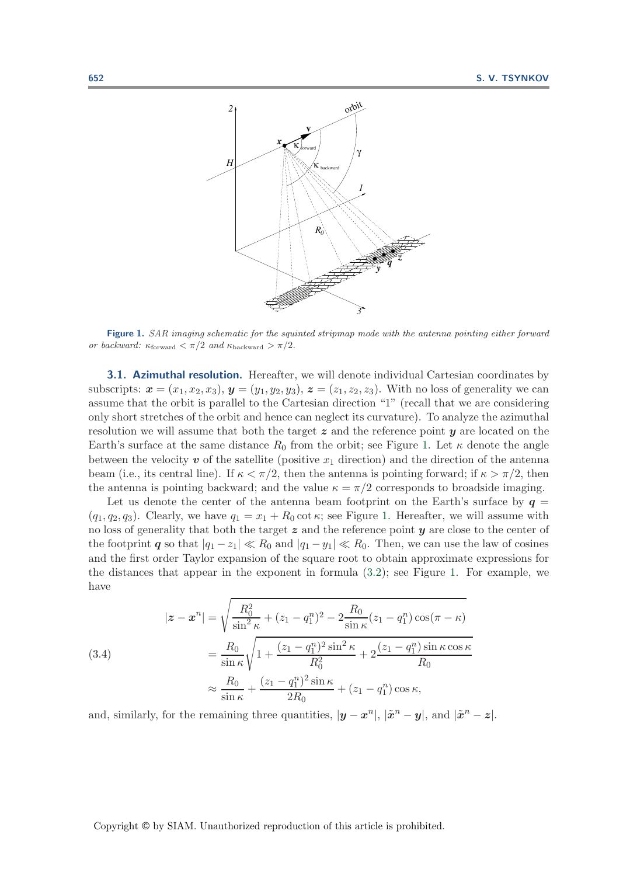

<span id="page-6-0"></span>**Figure 1.** SAR imaging schematic for the squinted stripmap mode with the antenna pointing either forward or backward:  $\kappa_{\text{forward}} < \pi/2$  and  $\kappa_{\text{backward}} > \pi/2$ .

**3.1. Azimuthal resolution.** Hereafter, we will denote individual Cartesian coordinates by subscripts:  $\mathbf{x} = (x_1, x_2, x_3), \mathbf{y} = (y_1, y_2, y_3), \mathbf{z} = (z_1, z_2, z_3).$  With no loss of generality we can assume that the orbit is parallel to the Cartesian direction "1" (recall that we are considering only short stretches of the orbit and hence can neglect its curvature). To analyze the azimuthal resolution we will assume that both the target *z* and the reference point *y* are located on the Earth's surface at the same distance  $R_0$  from the orbit; see Figure [1.](#page-6-0) Let  $\kappa$  denote the angle between the velocity  $v$  of the satellite (positive  $x_1$  direction) and the direction of the antenna beam (i.e., its central line). If  $\kappa < \pi/2$ , then the antenna is pointing forward; if  $\kappa > \pi/2$ , then the antenna is pointing backward; and the value  $\kappa = \pi/2$  corresponds to broadside imaging.

Let us denote the center of the antenna beam footprint on the Earth's surface by  $q =$  $(q_1, q_2, q_3)$ . Clearly, we have  $q_1 = x_1 + R_0 \cot \kappa$ ; see Figure [1.](#page-6-0) Hereafter, we will assume with no loss of generality that both the target *z* and the reference point *y* are close to the center of the footprint *q* so that  $|q_1 - z_1| \ll R_0$  and  $|q_1 - y_1| \ll R_0$ . Then, we can use the law of cosines and the first order Taylor expansion of the square root to obtain approximate expressions for the distances that appear in the exponent in formula [\(3.2\)](#page-5-2); see Figure [1.](#page-6-0) For example, we have

<span id="page-6-1"></span>
$$
|z - x^{n}| = \sqrt{\frac{R_{0}^{2}}{\sin^{2} \kappa} + (z_{1} - q_{1}^{n})^{2} - 2\frac{R_{0}}{\sin \kappa}(z_{1} - q_{1}^{n})\cos(\pi - \kappa)}
$$
  
\n
$$
= \frac{R_{0}}{\sin \kappa} \sqrt{1 + \frac{(z_{1} - q_{1}^{n})^{2}\sin^{2} \kappa}{R_{0}^{2}} + 2\frac{(z_{1} - q_{1}^{n})\sin \kappa \cos \kappa}{R_{0}}}
$$
  
\n
$$
\approx \frac{R_{0}}{\sin \kappa} + \frac{(z_{1} - q_{1}^{n})^{2}\sin \kappa}{2R_{0}} + (z_{1} - q_{1}^{n})\cos \kappa,
$$

and, similarly, for the remaining three quantities,  $|\mathbf{y} - \mathbf{x}^n|$ ,  $|\tilde{\mathbf{x}}^n - \mathbf{y}|$ , and  $|\tilde{\mathbf{x}}^n - \mathbf{z}|$ .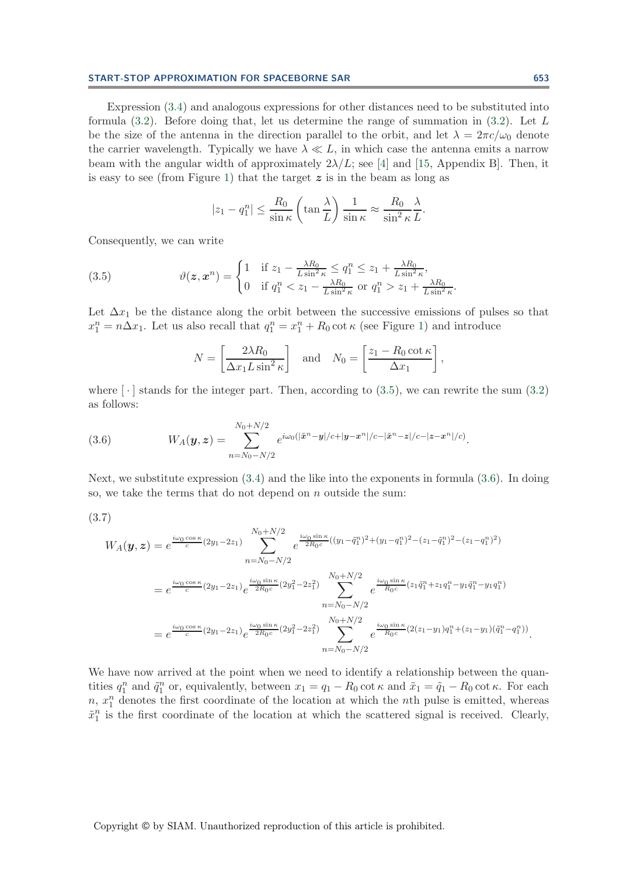### **START-STOP APPROXIMATION FOR SPACEBORNE SAR 653**

Expression [\(3.4\)](#page-6-1) and analogous expressions for other distances need to be substituted into formula  $(3.2)$ . Before doing that, let us determine the range of summation in  $(3.2)$ . Let L be the size of the antenna in the direction parallel to the orbit, and let  $\lambda = 2\pi c/\omega_0$  denote the carrier wavelength. Typically we have  $\lambda \ll L$ , in which case the antenna emits a narrow beam with the angular width of approximately  $2\lambda/L$ ; see [\[4\]](#page-23-3) and [\[15,](#page-23-8) Appendix B]. Then, it is easy to see (from Figure [1\)](#page-6-0) that the target *z* is in the beam as long as

<span id="page-7-0"></span>
$$
|z_1 - q_1^n| \le \frac{R_0}{\sin \kappa} \left(\tan \frac{\lambda}{L}\right) \frac{1}{\sin \kappa} \approx \frac{R_0}{\sin^2 \kappa} \frac{\lambda}{L}.
$$

Consequently, we can write

(3.5) 
$$
\vartheta(z, x^n) = \begin{cases} 1 & \text{if } z_1 - \frac{\lambda R_0}{L \sin^2 \kappa} \le q_1^n \le z_1 + \frac{\lambda R_0}{L \sin^2 \kappa}, \\ 0 & \text{if } q_1^n < z_1 - \frac{\lambda R_0}{L \sin^2 \kappa} \text{ or } q_1^n > z_1 + \frac{\lambda R_0}{L \sin^2 \kappa}. \end{cases}
$$

Let  $\Delta x_1$  be the distance along the orbit between the successive emissions of pulses so that  $x_1^n = n\Delta x_1$ . Let us also recall that  $q_1^n = x_1^n + R_0 \cot \kappa$  (see Figure [1\)](#page-6-0) and introduce

$$
N = \left[\frac{2\lambda R_0}{\Delta x_1 L \sin^2 \kappa}\right] \quad \text{and} \quad N_0 = \left[\frac{z_1 - R_0 \cot \kappa}{\Delta x_1}\right]
$$

<span id="page-7-2"></span>,

<span id="page-7-1"></span>where  $\lceil \cdot \rceil$  stands for the integer part. Then, according to [\(3.5\)](#page-7-0), we can rewrite the sum [\(3.2\)](#page-5-2) as follows:

(3.6) 
$$
W_A(\mathbf{y}, \mathbf{z}) = \sum_{n=N_0-N/2}^{N_0+N/2} e^{i\omega_0(|\tilde{\mathbf{x}}^n-\mathbf{y}|/c+|\mathbf{y}-\mathbf{x}^n|/c-|\tilde{\mathbf{x}}^n-\mathbf{z}|/c-|\mathbf{z}-\mathbf{x}^n|/c)}.
$$

Next, we substitute expression [\(3.4\)](#page-6-1) and the like into the exponents in formula [\(3.6\)](#page-7-1). In doing so, we take the terms that do not depend on  $n$  outside the sum:

(3.7)

$$
W_A(\mathbf{y}, \mathbf{z}) = e^{\frac{i\omega_0 \cos \kappa}{c}(2y_1 - 2z_1)} \sum_{n=N_0-N/2}^{N_0+N/2} e^{\frac{i\omega_0 \sin \kappa}{2R_0 c}((y_1 - \tilde{q}_1^n)^2 + (y_1 - q_1^n)^2 - (z_1 - \tilde{q}_1^n)^2 - (z_1 - q_1^n)^2)}
$$
  
\n
$$
= e^{\frac{i\omega_0 \cos \kappa}{c}(2y_1 - 2z_1)} e^{\frac{i\omega_0 \sin \kappa}{2R_0 c}(2y_1^2 - 2z_1^2)} \sum_{n=N_0-N/2}^{N_0+N/2} e^{\frac{i\omega_0 \sin \kappa}{R_0 c}(z_1\tilde{q}_1^n + z_1q_1^n - y_1\tilde{q}_1^n - y_1q_1^n)} e^{-\frac{i\omega_0 \cos \kappa}{c}(2y_1 - 2z_1)} e^{\frac{i\omega_0 \sin \kappa}{2R_0 c}(2y_1^2 - 2z_1^2)} \sum_{n=N_0-N/2}^{N_0+N/2} e^{\frac{i\omega_0 \sin \kappa}{R_0 c}(2(z_1 - y_1)q_1^n + (z_1 - y_1)(\tilde{q}_1^n - q_1^n))}.
$$

We have now arrived at the point when we need to identify a relationship between the quantities  $q_1^n$  and  $\tilde{q}_1^n$  or, equivalently, between  $x_1 = q_1 - R_0 \cot \kappa$  and  $\tilde{x}_1 = \tilde{q}_1 - R_0 \cot \kappa$ . For each  $n, x_1^n$  denotes the first coordinate of the location at which the nth pulse is emitted, whereas  $\tilde{x}_1^n$  is the first coordinate of the location at which the scattered signal is received. Clearly,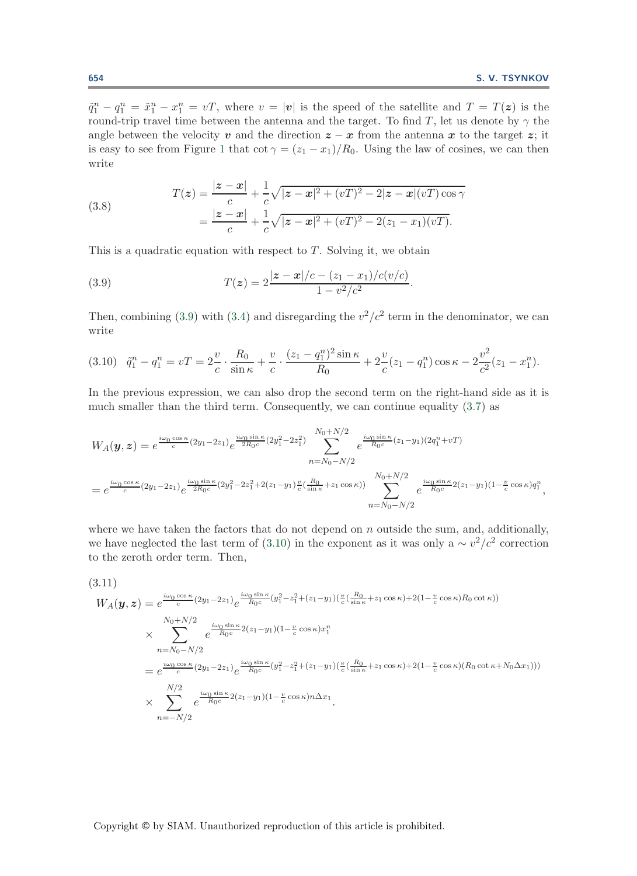$\tilde{q}_1^n - q_1^n = \tilde{x}_1^n - x_1^n = vT$ , where  $v = |\mathbf{v}|$  is the speed of the satellite and  $T = T(\mathbf{z})$  is the round-trip travel time between the antenna and the target. To find T, let us denote by  $\gamma$  the angle between the velocity *v* and the direction  $z - x$  from the antenna *x* to the target *z*; it is easy to see from Figure [1](#page-6-0) that  $\cot \gamma = (z_1 - x_1)/R_0$ . Using the law of cosines, we can then write

<span id="page-8-3"></span>(3.8) 
$$
T(z) = \frac{|z - x|}{c} + \frac{1}{c}\sqrt{|z - x|^2 + (vT)^2 - 2|z - x|(vT)\cos\gamma} = \frac{|z - x|}{c} + \frac{1}{c}\sqrt{|z - x|^2 + (vT)^2 - 2(z_1 - x_1)(vT)}.
$$

This is a quadratic equation with respect to  $T$ . Solving it, we obtain

<span id="page-8-0"></span>(3.9) 
$$
T(z) = 2\frac{|z-x|/c - (z_1 - x_1)/c(v/c)}{1 - v^2/c^2}.
$$

<span id="page-8-1"></span>Then, combining [\(3.9\)](#page-8-0) with [\(3.4\)](#page-6-1) and disregarding the  $v^2/c^2$  term in the denominator, we can write

$$
(3.10) \quad \tilde{q}_1^n - q_1^n = vT = 2\frac{v}{c} \cdot \frac{R_0}{\sin \kappa} + \frac{v}{c} \cdot \frac{(z_1 - q_1^n)^2 \sin \kappa}{R_0} + 2\frac{v}{c}(z_1 - q_1^n) \cos \kappa - 2\frac{v^2}{c^2}(z_1 - x_1^n).
$$

In the previous expression, we can also drop the second term on the right-hand side as it is much smaller than the third term. Consequently, we can continue equality [\(3.7\)](#page-7-2) as

$$
W_A(\mathbf{y}, \mathbf{z}) = e^{\frac{i\omega_0 \cos \kappa}{c}(2y_1 - 2z_1)} e^{\frac{i\omega_0 \sin \kappa}{2R_0c}(2y_1^2 - 2z_1^2)} \sum_{n=N_0-N/2}^{N_0+N/2} e^{\frac{i\omega_0 \sin \kappa}{R_0c}(z_1 - y_1)(2q_1^n + vT)}
$$
  
\n
$$
= e^{\frac{i\omega_0 \cos \kappa}{c}(2y_1 - 2z_1)} e^{\frac{i\omega_0 \sin \kappa}{2R_0c}(2y_1^2 - 2z_1^2 + 2(z_1 - y_1) \frac{v}{c}(\frac{R_0}{\sin \kappa} + z_1 \cos \kappa))} \sum_{n=N_0-N/2}^{N_0+N/2} e^{\frac{i\omega_0 \sin \kappa}{R_0c}2(z_1 - y_1)(1 - \frac{v}{c} \cos \kappa)q_1^n},
$$

where we have taken the factors that do not depend on  $n$  outside the sum, and, additionally, we have neglected the last term of [\(3.10\)](#page-8-1) in the exponent as it was only a  $\sim v^2/c^2$  correction to the zeroth order term. Then,

$$
(3.11)
$$

<span id="page-8-2"></span>
$$
W_A(\mathbf{y}, \mathbf{z}) = e^{\frac{i\omega_0 \cos \kappa}{c}(2y_1 - 2z_1)} e^{\frac{i\omega_0 \sin \kappa}{R_0 c}(y_1^2 - z_1^2 + (z_1 - y_1))(\frac{v}{c}(\frac{R_0}{\sin \kappa} + z_1 \cos \kappa) + 2(1 - \frac{v}{c}\cos \kappa)R_0 \cot \kappa))}
$$
  
\n
$$
\times \sum_{n=N_0-N/2}^{N_0+N/2} e^{\frac{i\omega_0 \sin \kappa}{R_0 c}(2z_1 - y_1)(1 - \frac{v}{c}\cos \kappa)x_1^n}
$$
  
\n
$$
= e^{\frac{i\omega_0 \cos \kappa}{c}(2y_1 - 2z_1)} e^{\frac{i\omega_0 \sin \kappa}{R_0 c}(y_1^2 - z_1^2 + (z_1 - y_1))(\frac{v}{c}(\frac{R_0}{\sin \kappa} + z_1 \cos \kappa) + 2(1 - \frac{v}{c}\cos \kappa)(R_0 \cot \kappa + N_0 \Delta x_1))}
$$
  
\n
$$
\times \sum_{n=-N/2}^{N/2} e^{\frac{i\omega_0 \sin \kappa}{R_0 c}(2z_1 - y_1)(1 - \frac{v}{c}\cos \kappa)n\Delta x_1}.
$$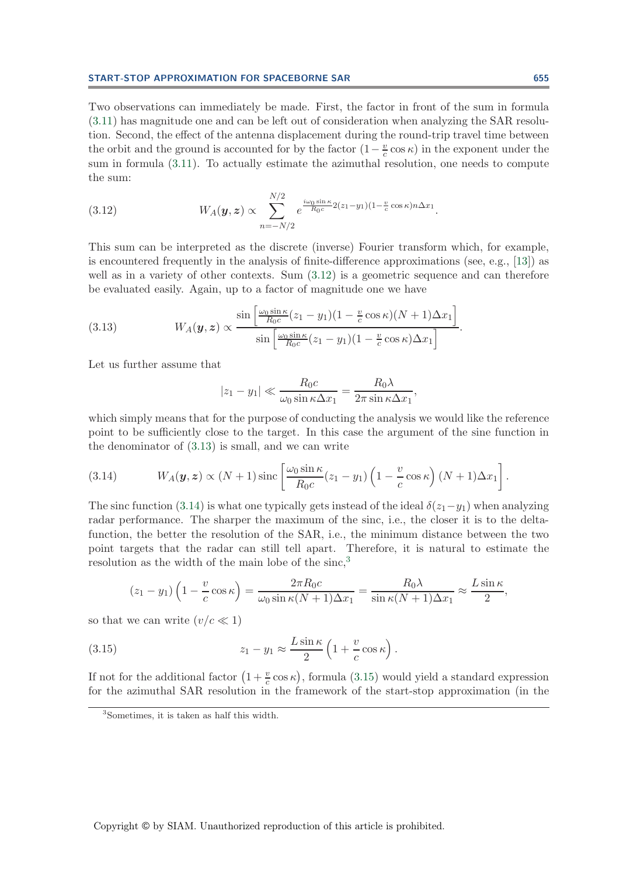Two observations can immediately be made. First, the factor in front of the sum in formula [\(3.11\)](#page-8-2) has magnitude one and can be left out of consideration when analyzing the SAR resolution. Second, the effect of the antenna displacement during the round-trip travel time between the orbit and the ground is accounted for by the factor  $(1 - \frac{v}{c} \cos \kappa)$  in the exponent under the sum in formula [\(3.11\)](#page-8-2). To actually estimate the azimuthal resolution, one needs to compute the sum:

<span id="page-9-0"></span>(3.12) 
$$
W_A(\mathbf{y}, \mathbf{z}) \propto \sum_{n=-N/2}^{N/2} e^{\frac{i\omega_0 \sin \kappa}{R_0 c} 2(z_1 - y_1)(1 - \frac{v}{c} \cos \kappa) n \Delta x_1}.
$$

This sum can be interpreted as the discrete (inverse) Fourier transform which, for example, is encountered frequently in the analysis of finite-difference approximations (see, e.g., [\[13\]](#page-23-9)) as well as in a variety of other contexts. Sum [\(3.12\)](#page-9-0) is a geometric sequence and can therefore be evaluated easily. Again, up to a factor of magnitude one we have

(3.13) 
$$
W_A(\boldsymbol{y}, \boldsymbol{z}) \propto \frac{\sin\left[\frac{\omega_0 \sin \kappa}{R_0 c}(z_1 - y_1)(1 - \frac{v}{c} \cos \kappa)(N + 1)\Delta x_1\right]}{\sin\left[\frac{\omega_0 \sin \kappa}{R_0 c}(z_1 - y_1)(1 - \frac{v}{c} \cos \kappa)\Delta x_1\right]}.
$$

Let us further assume that

<span id="page-9-2"></span><span id="page-9-1"></span>
$$
|z_1 - y_1| \ll \frac{R_0 c}{\omega_0 \sin \kappa \Delta x_1} = \frac{R_0 \lambda}{2\pi \sin \kappa \Delta x_1},
$$

which simply means that for the purpose of conducting the analysis we would like the reference point to be sufficiently close to the target. In this case the argument of the sine function in the denominator of [\(3.13\)](#page-9-1) is small, and we can write

(3.14) 
$$
W_A(\mathbf{y}, \mathbf{z}) \propto (N+1) \operatorname{sinc}\left[\frac{\omega_0 \sin \kappa}{R_0 c}(z_1 - y_1)\left(1 - \frac{v}{c} \cos \kappa\right)(N+1)\Delta x_1\right].
$$

The sinc function [\(3.14\)](#page-9-2) is what one typically gets instead of the ideal  $\delta(z_1-y_1)$  when analyzing radar performance. The sharper the maximum of the sinc, i.e., the closer it is to the deltafunction, the better the resolution of the SAR, i.e., the minimum distance between the two point targets that the radar can still tell apart. Therefore, it is natural to estimate the resolution as the width of the main lobe of the sinc, $3$ 

<span id="page-9-4"></span>
$$
(z_1 - y_1) \left( 1 - \frac{v}{c} \cos \kappa \right) = \frac{2\pi R_0 c}{\omega_0 \sin \kappa (N+1) \Delta x_1} = \frac{R_0 \lambda}{\sin \kappa (N+1) \Delta x_1} \approx \frac{L \sin \kappa}{2},
$$

so that we can write  $(v/c \ll 1)$ 

(3.15) 
$$
z_1 - y_1 \approx \frac{L \sin \kappa}{2} \left( 1 + \frac{v}{c} \cos \kappa \right).
$$

If not for the additional factor  $(1 + \frac{v}{c} \cos \kappa)$ , formula [\(3.15\)](#page-9-4) would yield a standard expression for the azimuthal SAR resolution in the framework of the start-stop approximation (in the

<span id="page-9-3"></span><sup>3</sup>Sometimes, it is taken as half this width.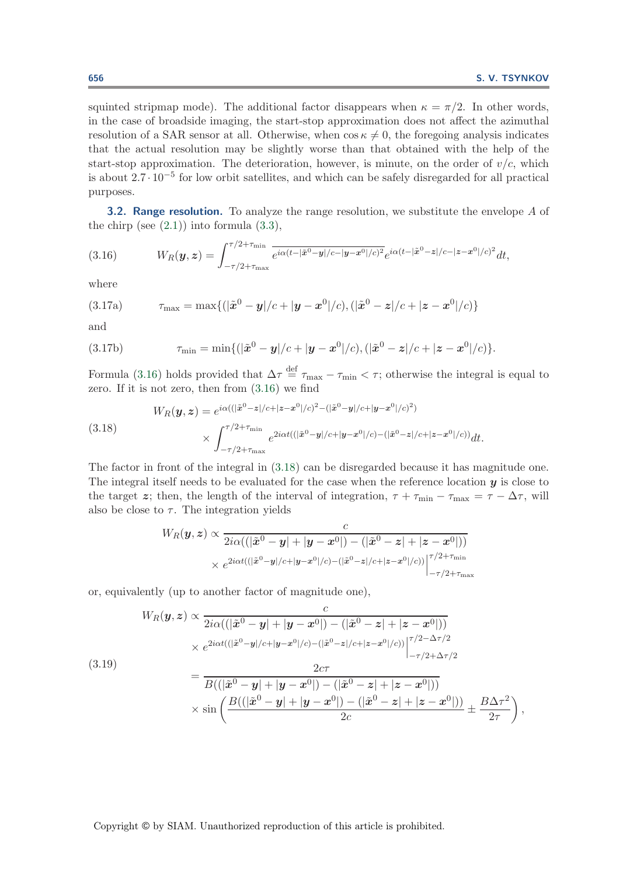squinted stripmap mode). The additional factor disappears when  $\kappa = \pi/2$ . In other words, in the case of broadside imaging, the start-stop approximation does not affect the azimuthal resolution of a SAR sensor at all. Otherwise, when  $\cos \kappa \neq 0$ , the foregoing analysis indicates that the actual resolution may be slightly worse than that obtained with the help of the start-stop approximation. The deterioration, however, is minute, on the order of  $v/c$ , which is about  $2.7 \cdot 10^{-5}$  for low orbit satellites, and which can be safely disregarded for all practical purposes.

**3.2. Range resolution.** To analyze the range resolution, we substitute the envelope A of the chirp (see  $(2.1)$ ) into formula  $(3.3)$ ,

<span id="page-10-0"></span>(3.16) 
$$
W_R(\mathbf{y}, \mathbf{z}) = \int_{-\tau/2 + \tau_{\text{max}}}^{\tau/2 + \tau_{\text{min}}} \frac{e^{i\alpha(t - |\tilde{\mathbf{x}}^0 - \mathbf{y}|/c - |\mathbf{y} - \mathbf{x}^0|/c)^2} e^{i\alpha(t - |\tilde{\mathbf{x}}^0 - \mathbf{z}|/c - |\mathbf{z} - \mathbf{x}^0|/c)^2} dt,
$$

<span id="page-10-3"></span>where

(3.17a) 
$$
\tau_{\max} = \max\{(|\tilde{x}^0 - y|/c + |y - x^0|/c), (|\tilde{x}^0 - z|/c + |z - x^0|/c)\}\
$$

and

(3.17b) 
$$
\tau_{\min} = \min\{(|\tilde{x}^0 - y|/c + |\tilde{y} - x^0|/c), (|\tilde{x}^0 - z|/c + |z - x^0|/c)\}.
$$

Formula [\(3.16\)](#page-10-0) holds provided that  $\Delta \tau \stackrel{\text{def}}{=} \tau_{\text{max}} - \tau_{\text{min}} < \tau$ ; otherwise the integral is equal to zero. If it is not zero, then from [\(3.16\)](#page-10-0) we find

(3.18)  

$$
W_R(\mathbf{y}, \mathbf{z}) = e^{i\alpha((|\tilde{x}^0 - \mathbf{z}|/c + |\mathbf{z} - \mathbf{x}^0|/c)^2 - (|\tilde{x}^0 - \mathbf{y}|/c + |\mathbf{y} - \mathbf{x}^0|/c)^2)}
$$

$$
\times \int_{-\tau/2 + \tau_{\text{max}}}^{\tau/2 + \tau_{\text{min}}} e^{2i\alpha t((|\tilde{x}^0 - \mathbf{y}|/c + |\mathbf{y} - \mathbf{x}^0|/c) - (|\tilde{x}^0 - \mathbf{z}|/c + |\mathbf{z} - \mathbf{x}^0|/c))} dt.
$$

The factor in front of the integral in [\(3.18\)](#page-10-1) can be disregarded because it has magnitude one. The integral itself needs to be evaluated for the case when the reference location *y* is close to the target *z*; then, the length of the interval of integration,  $\tau + \tau_{\min} - \tau_{\max} = \tau - \Delta \tau$ , will also be close to  $\tau$ . The integration yields

<span id="page-10-2"></span><span id="page-10-1"></span>
$$
W_R(\bm{y},\bm{z}) \propto \frac{c}{2i\alpha((|\tilde{\bm{x}}^0-\bm{y}|+|\bm{y}-\bm{x}^0|)-(|\tilde{\bm{x}}^0-\bm{z}|+|\bm{z}-\bm{x}^0|))} \\ \times e^{2i\alpha t((|\tilde{\bm{x}}^0-\bm{y}|/c+|\bm{y}-\bm{x}^0|/c)-(|\tilde{\bm{x}}^0-\bm{z}|/c+|\bm{z}-\bm{x}^0|/c))} \Big|_{-\tau/2+\tau_{\text{max}}}^{\tau/2+\tau_{\text{min}}}
$$

or, equivalently (up to another factor of magnitude one),

$$
W_R(\mathbf{y}, \mathbf{z}) \propto \frac{c}{2i\alpha((|\tilde{\mathbf{x}}^0 - \mathbf{y}| + |\mathbf{y} - \mathbf{x}^0|) - (|\tilde{\mathbf{x}}^0 - \mathbf{z}| + |\mathbf{z} - \mathbf{x}^0|))}
$$
  
 
$$
\times e^{2i\alpha t((|\tilde{\mathbf{x}}^0 - \mathbf{y}|/c + |\mathbf{y} - \mathbf{x}^0|/c) - (|\tilde{\mathbf{x}}^0 - \mathbf{z}|/c + |\mathbf{z} - \mathbf{x}^0|/c))}\Big|_{-\tau/2 + \Delta \tau/2}^{\tau/2 - \Delta \tau/2}
$$
(3.19)

$$
=\frac{2c\tau}{B((|\tilde{\bm{x}}^0-\bm{y}|+|\bm{y}-\bm{x}^0|)-(|\tilde{\bm{x}}^0-\bm{z}|+|\bm{z}-\bm{x}^0|))}\times\sin\left(\frac{B((|\tilde{\bm{x}}^0-\bm{y}|+|\bm{y}-\bm{x}^0|)-(|\tilde{\bm{x}}^0-\bm{z}|+|\bm{z}-\bm{x}^0|))}{2c}\pm\frac{B\Delta\tau^2}{2\tau}\right),
$$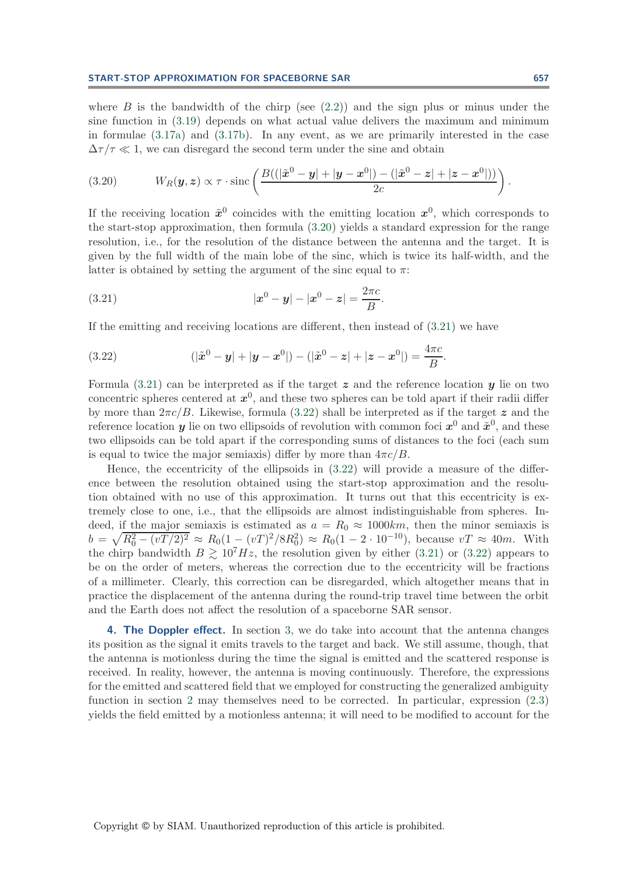where  $B$  is the bandwidth of the chirp (see  $(2.2)$ ) and the sign plus or minus under the sine function in [\(3.19\)](#page-10-2) depends on what actual value delivers the maximum and minimum in formulae [\(3.17a\)](#page-10-3) and [\(3.17b\)](#page-10-3). In any event, as we are primarily interested in the case  $\Delta \tau / \tau \ll 1$ , we can disregard the second term under the sine and obtain

<span id="page-11-1"></span>(3.20) 
$$
W_R(\mathbf{y}, \mathbf{z}) \propto \tau \cdot \text{sinc}\left(\frac{B((|\tilde{\mathbf{x}}^0 - \mathbf{y}| + |\mathbf{y} - \mathbf{x}^0|) - (|\tilde{\mathbf{x}}^0 - \mathbf{z}| + |\mathbf{z} - \mathbf{x}^0|))}{2c}\right).
$$

If the receiving location  $\tilde{x}^0$  coincides with the emitting location  $x^0$ , which corresponds to the start-stop approximation, then formula [\(3.20\)](#page-11-1) yields a standard expression for the range resolution, i.e., for the resolution of the distance between the antenna and the target. It is given by the full width of the main lobe of the sinc, which is twice its half-width, and the latter is obtained by setting the argument of the sinc equal to  $\pi$ :

<span id="page-11-2"></span>(3.21) 
$$
|\boldsymbol{x}^0 - \boldsymbol{y}| - |\boldsymbol{x}^0 - \boldsymbol{z}| = \frac{2\pi c}{B}.
$$

If the emitting and receiving locations are different, then instead of [\(3.21\)](#page-11-2) we have

<span id="page-11-3"></span>(3.22) 
$$
(|\tilde{x}^0 - y| + |y - x^0|) - (|\tilde{x}^0 - z| + |z - x^0|) = \frac{4\pi c}{B}.
$$

Formula  $(3.21)$  can be interpreted as if the target  $\boldsymbol{z}$  and the reference location  $\boldsymbol{y}$  lie on two concentric spheres centered at  $x^0$ , and these two spheres can be told apart if their radii differ by more than  $2\pi c/B$ . Likewise, formula [\(3.22\)](#page-11-3) shall be interpreted as if the target z and the reference location *y* lie on two ellipsoids of revolution with common foci  $x^0$  and  $\tilde{x}^0$ , and these two ellipsoids can be told apart if the corresponding sums of distances to the foci (each sum is equal to twice the major semiaxis) differ by more than  $4\pi c/B$ .

Hence, the eccentricity of the ellipsoids in [\(3.22\)](#page-11-3) will provide a measure of the difference between the resolution obtained using the start-stop approximation and the resolution obtained with no use of this approximation. It turns out that this eccentricity is extremely close to one, i.e., that the ellipsoids are almost indistinguishable from spheres. Indeed, if the major semiaxis is estimated as  $a = R_0 \approx 1000km$ , then the minor semiaxis is  $b = \sqrt{R_0^2 - (vT/2)^2} \approx R_0(1 - (vT)^2/8R_0^2) \approx R_0(1 - 2 \cdot 10^{-10})$ , because  $vT \approx 40m$ . With the chirp bandwidth  $B \ge 10^7$  Hz, the resolution given by either [\(3.21\)](#page-11-2) or [\(3.22\)](#page-11-3) appears to be on the order of meters, whereas the correction due to the eccentricity will be fractions of a millimeter. Clearly, this correction can be disregarded, which altogether means that in practice the displacement of the antenna during the round-trip travel time between the orbit and the Earth does not affect the resolution of a spaceborne SAR sensor.

<span id="page-11-0"></span>**4. The Doppler effect.** In section [3,](#page-5-0) we do take into account that the antenna changes its position as the signal it emits travels to the target and back. We still assume, though, that the antenna is motionless during the time the signal is emitted and the scattered response is received. In reality, however, the antenna is moving continuously. Therefore, the expressions for the emitted and scattered field that we employed for constructing the generalized ambiguity function in section [2](#page-1-0) may themselves need to be corrected. In particular, expression [\(2.3\)](#page-2-1) yields the field emitted by a motionless antenna; it will need to be modified to account for the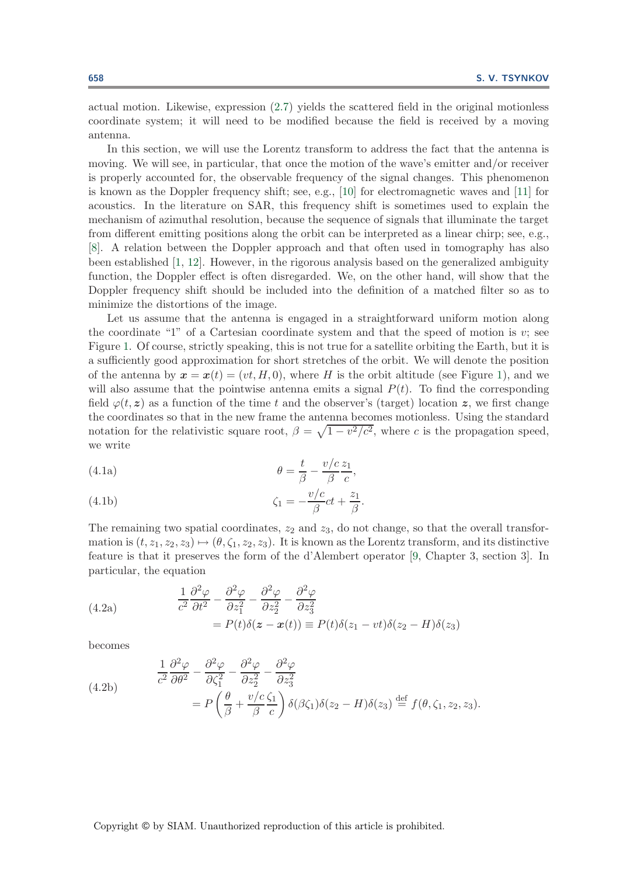actual motion. Likewise, expression [\(2.7\)](#page-3-0) yields the scattered field in the original motionless coordinate system; it will need to be modified because the field is received by a moving antenna.

In this section, we will use the Lorentz transform to address the fact that the antenna is moving. We will see, in particular, that once the motion of the wave's emitter and/or receiver is properly accounted for, the observable frequency of the signal changes. This phenomenon is known as the Doppler frequency shift; see, e.g., [\[10\]](#page-23-10) for electromagnetic waves and [\[11\]](#page-23-11) for acoustics. In the literature on SAR, this frequency shift is sometimes used to explain the mechanism of azimuthal resolution, because the sequence of signals that illuminate the target from different emitting positions along the orbit can be interpreted as a linear chirp; see, e.g., [\[8\]](#page-23-2). A relation between the Doppler approach and that often used in tomography has also been established [\[1,](#page-23-12) [12\]](#page-23-13). However, in the rigorous analysis based on the generalized ambiguity function, the Doppler effect is often disregarded. We, on the other hand, will show that the Doppler frequency shift should be included into the definition of a matched filter so as to minimize the distortions of the image.

Let us assume that the antenna is engaged in a straightforward uniform motion along the coordinate "1" of a Cartesian coordinate system and that the speed of motion is  $v$ ; see Figure [1.](#page-6-0) Of course, strictly speaking, this is not true for a satellite orbiting the Earth, but it is a sufficiently good approximation for short stretches of the orbit. We will denote the position of the antenna by  $x = x(t) = (vt, H, 0)$ , where H is the orbit altitude (see Figure [1\)](#page-6-0), and we will also assume that the pointwise antenna emits a signal  $P(t)$ . To find the corresponding field  $\varphi(t, z)$  as a function of the time t and the observer's (target) location z, we first change the coordinates so that in the new frame the antenna becomes motionless. Using the standard notation for the relativistic square root,  $\beta = \sqrt{1 - v^2/c^2}$ , where c is the propagation speed, we write

<span id="page-12-0"></span>(4.1a) 
$$
\theta = \frac{t}{\beta} - \frac{v/c}{\beta} \frac{z_1}{c},
$$

(4.1b) 
$$
\zeta_1 = -\frac{v/c}{\beta}ct + \frac{z_1}{\beta}.
$$

The remaining two spatial coordinates,  $z_2$  and  $z_3$ , do not change, so that the overall transformation is  $(t, z_1, z_2, z_3) \mapsto (\theta, \zeta_1, z_2, z_3)$ . It is known as the Lorentz transform, and its distinctive feature is that it preserves the form of the d'Alembert operator [\[9,](#page-23-5) Chapter 3, section 3]. In particular, the equation

<span id="page-12-1"></span>(4.2a)  
\n
$$
\frac{1}{c^2} \frac{\partial^2 \varphi}{\partial t^2} - \frac{\partial^2 \varphi}{\partial z_1^2} - \frac{\partial^2 \varphi}{\partial z_2^2} - \frac{\partial^2 \varphi}{\partial z_3^2}
$$
\n
$$
= P(t)\delta(z - x(t)) \equiv P(t)\delta(z_1 - vt)\delta(z_2 - H)\delta(z_3)
$$

becomes

(4.2b)  
\n
$$
\frac{1}{c^2} \frac{\partial^2 \varphi}{\partial \theta^2} - \frac{\partial^2 \varphi}{\partial \zeta_1^2} - \frac{\partial^2 \varphi}{\partial z_2^2} - \frac{\partial^2 \varphi}{\partial z_3^2}
$$
\n
$$
= P \left( \frac{\theta}{\beta} + \frac{v/c}{\beta} \frac{\zeta_1}{c} \right) \delta(\beta \zeta_1) \delta(z_2 - H) \delta(z_3) \stackrel{\text{def}}{=} f(\theta, \zeta_1, z_2, z_3).
$$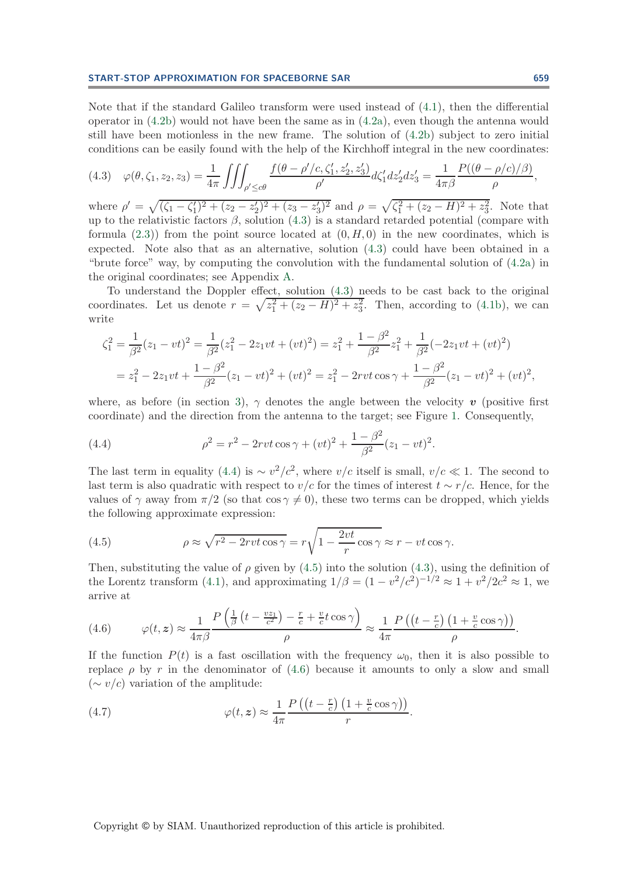Note that if the standard Galileo transform were used instead of [\(4.1\)](#page-12-0), then the differential operator in [\(4.2b\)](#page-12-1) would not have been the same as in [\(4.2a\)](#page-12-1), even though the antenna would still have been motionless in the new frame. The solution of [\(4.2b\)](#page-12-1) subject to zero initial conditions can be easily found with the help of the Kirchhoff integral in the new coordinates:

<span id="page-13-0"></span>
$$
(4.3) \quad \varphi(\theta,\zeta_1,z_2,z_3) = \frac{1}{4\pi} \iiint_{\rho' \le c\theta} \frac{f(\theta - \rho'/c,\zeta_1',z_2',z_3')}{\rho'} d\zeta_1' dz_2' dz_3' = \frac{1}{4\pi\beta} \frac{P((\theta - \rho/c)/\beta)}{\rho},
$$

where  $\rho' = \sqrt{(\zeta_1 - \zeta_1')^2 + (z_2 - z_2')^2 + (z_3 - z_3')^2}$  and  $\rho = \sqrt{\zeta_1^2 + (z_2 - H)^2 + z_3^2}$ . Note that up to the relativistic factors  $\beta$ , solution [\(4.3\)](#page-13-0) is a standard retarded potential (compare with formula  $(2.3)$ ) from the point source located at  $(0, H, 0)$  in the new coordinates, which is expected. Note also that as an alternative, solution [\(4.3\)](#page-13-0) could have been obtained in a "brute force" way, by computing the convolution with the fundamental solution of [\(4.2a\)](#page-12-1) in the original coordinates; see Appendix [A.](#page-21-0)

To understand the Doppler effect, solution [\(4.3\)](#page-13-0) needs to be cast back to the original coordinates. Let us denote  $r = \sqrt{z_1^2 + (z_2 - H)^2 + z_3^2}$ . Then, according to [\(4.1b\)](#page-12-0), we can write

<span id="page-13-1"></span>
$$
\zeta_1^2 = \frac{1}{\beta^2} (z_1 - vt)^2 = \frac{1}{\beta^2} (z_1^2 - 2z_1 vt + (vt)^2) = z_1^2 + \frac{1 - \beta^2}{\beta^2} z_1^2 + \frac{1}{\beta^2} (-2z_1 vt + (vt)^2)
$$
  
=  $z_1^2 - 2z_1 vt + \frac{1 - \beta^2}{\beta^2} (z_1 - vt)^2 + (vt)^2 = z_1^2 - 2rvt \cos \gamma + \frac{1 - \beta^2}{\beta^2} (z_1 - vt)^2 + (vt)^2$ ,

where, as before (in section [3\)](#page-5-0),  $\gamma$  denotes the angle between the velocity *v* (positive first coordinate) and the direction from the antenna to the target; see Figure [1.](#page-6-0) Consequently,

(4.4) 
$$
\rho^2 = r^2 - 2rvt\cos\gamma + (vt)^2 + \frac{1-\beta^2}{\beta^2}(z_1 - vt)^2.
$$

The last term in equality [\(4.4\)](#page-13-1) is  $\sim v^2/c^2$ , where v/c itself is small,  $v/c \ll 1$ . The second to last term is also quadratic with respect to  $v/c$  for the times of interest  $t \sim r/c$ . Hence, for the values of  $\gamma$  away from  $\pi/2$  (so that cos  $\gamma \neq 0$ ), these two terms can be dropped, which yields the following approximate expression:

<span id="page-13-2"></span>(4.5) 
$$
\rho \approx \sqrt{r^2 - 2rvt \cos \gamma} = r\sqrt{1 - \frac{2vt}{r} \cos \gamma} \approx r - vt \cos \gamma.
$$

Then, substituting the value of  $\rho$  given by [\(4.5\)](#page-13-2) into the solution [\(4.3\)](#page-13-0), using the definition of the Lorentz transform [\(4.1\)](#page-12-0), and approximating  $1/\beta = (1 - v^2/c^2)^{-1/2} \approx 1 + v^2/2c^2 \approx 1$ , we arrive at

<span id="page-13-3"></span>(4.6) 
$$
\varphi(t,z) \approx \frac{1}{4\pi\beta} \frac{P\left(\frac{1}{\beta}\left(t - \frac{v z_1}{c^2}\right) - \frac{r}{c} + \frac{v}{c}t \cos\gamma\right)}{\rho} \approx \frac{1}{4\pi} \frac{P\left(\left(t - \frac{r}{c}\right)\left(1 + \frac{v}{c}\cos\gamma\right)\right)}{\rho}.
$$

If the function  $P(t)$  is a fast oscillation with the frequency  $\omega_0$ , then it is also possible to replace  $\rho$  by r in the denominator of [\(4.6\)](#page-13-3) because it amounts to only a slow and small  $(\sim v/c)$  variation of the amplitude:

<span id="page-13-4"></span>(4.7) 
$$
\varphi(t,z) \approx \frac{1}{4\pi} \frac{P\left(\left(t - \frac{r}{c}\right)\left(1 + \frac{v}{c}\cos\gamma\right)\right)}{r}.
$$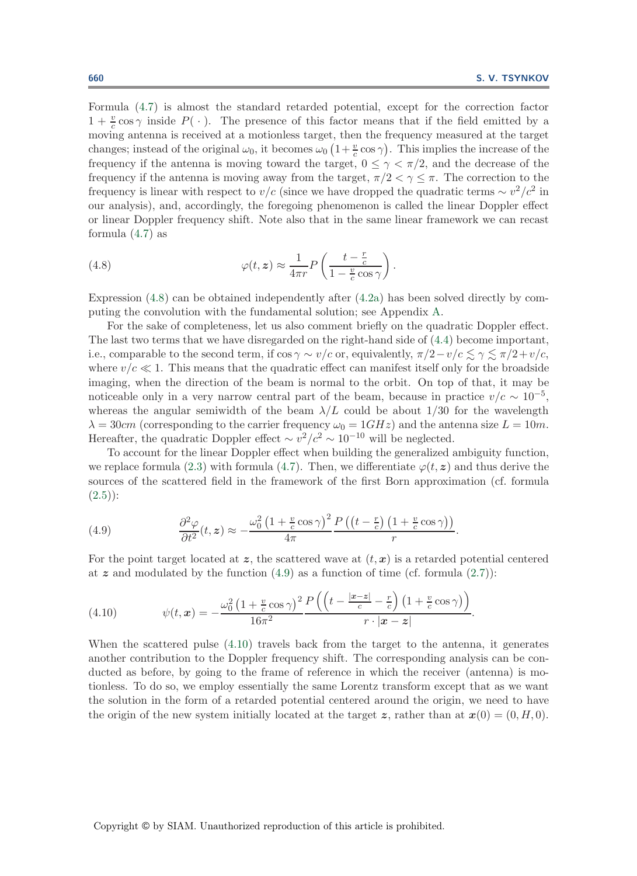Formula [\(4.7\)](#page-13-4) is almost the standard retarded potential, except for the correction factor  $1 + \frac{v}{c} \cos \gamma$  inside  $P(\cdot)$ . The presence of this factor means that if the field emitted by a moving antenna is received at a motionless target, then the frequency measured at the target changes; instead of the original  $\omega_0$ , it becomes  $\omega_0(1+\frac{v}{c}\cos\gamma)$ . This implies the increase of the frequency if the antenna is moving toward the target,  $0 \leq \gamma < \pi/2$ , and the decrease of the frequency if the antenna is moving away from the target,  $\pi/2 < \gamma < \pi$ . The correction to the frequency is linear with respect to v/c (since we have dropped the quadratic terms  $\sim v^2/c^2$  in our analysis), and, accordingly, the foregoing phenomenon is called the linear Doppler effect or linear Doppler frequency shift. Note also that in the same linear framework we can recast formula [\(4.7\)](#page-13-4) as

<span id="page-14-0"></span>(4.8) 
$$
\varphi(t, z) \approx \frac{1}{4\pi r} P\left(\frac{t - \frac{r}{c}}{1 - \frac{v}{c}\cos\gamma}\right).
$$

Expression [\(4.8\)](#page-14-0) can be obtained independently after [\(4.2a\)](#page-12-1) has been solved directly by computing the convolution with the fundamental solution; see Appendix [A.](#page-21-0)

For the sake of completeness, let us also comment briefly on the quadratic Doppler effect. The last two terms that we have disregarded on the right-hand side of [\(4.4\)](#page-13-1) become important, i.e., comparable to the second term, if  $\cos \gamma \sim v/c$  or, equivalently,  $\pi/2-v/c \lesssim \gamma \lesssim \pi/2+v/c$ , where  $v/c \ll 1$ . This means that the quadratic effect can manifest itself only for the broadside imaging, when the direction of the beam is normal to the orbit. On top of that, it may be noticeable only in a very narrow central part of the beam, because in practice  $v/c \sim 10^{-5}$ , whereas the angular semiwidth of the beam  $\lambda/L$  could be about 1/30 for the wavelength  $\lambda = 30$ cm (corresponding to the carrier frequency  $\omega_0 = 1$ GHz) and the antenna size  $L = 10$ m. Hereafter, the quadratic Doppler effect  $\sim v^2/c^2 \sim 10^{-10}$  will be neglected.

To account for the linear Doppler effect when building the generalized ambiguity function, we replace formula [\(2.3\)](#page-2-1) with formula [\(4.7\)](#page-13-4). Then, we differentiate  $\varphi(t, z)$  and thus derive the sources of the scattered field in the framework of the first Born approximation (cf. formula  $(2.5)$ :

<span id="page-14-1"></span>(4.9) 
$$
\frac{\partial^2 \varphi}{\partial t^2}(t, z) \approx -\frac{\omega_0^2 \left(1 + \frac{v}{c} \cos \gamma\right)^2 P\left(\left(t - \frac{r}{c}\right) \left(1 + \frac{v}{c} \cos \gamma\right)\right)}{4\pi}.
$$

For the point target located at  $z$ , the scattered wave at  $(t, x)$  is a retarded potential centered at  $z$  and modulated by the function  $(4.9)$  as a function of time (cf. formula  $(2.7)$ ):

<span id="page-14-2"></span>(4.10) 
$$
\psi(t, x) = -\frac{\omega_0^2 \left(1 + \frac{v}{c} \cos \gamma\right)^2 P\left(\left(t - \frac{|x - z|}{c} - \frac{r}{c}\right) \left(1 + \frac{v}{c} \cos \gamma\right)\right)}{16\pi^2}.
$$

When the scattered pulse [\(4.10\)](#page-14-2) travels back from the target to the antenna, it generates another contribution to the Doppler frequency shift. The corresponding analysis can be conducted as before, by going to the frame of reference in which the receiver (antenna) is motionless. To do so, we employ essentially the same Lorentz transform except that as we want the solution in the form of a retarded potential centered around the origin, we need to have the origin of the new system initially located at the target  $\boldsymbol{z}$ , rather than at  $\boldsymbol{x}(0) = (0, H, 0)$ .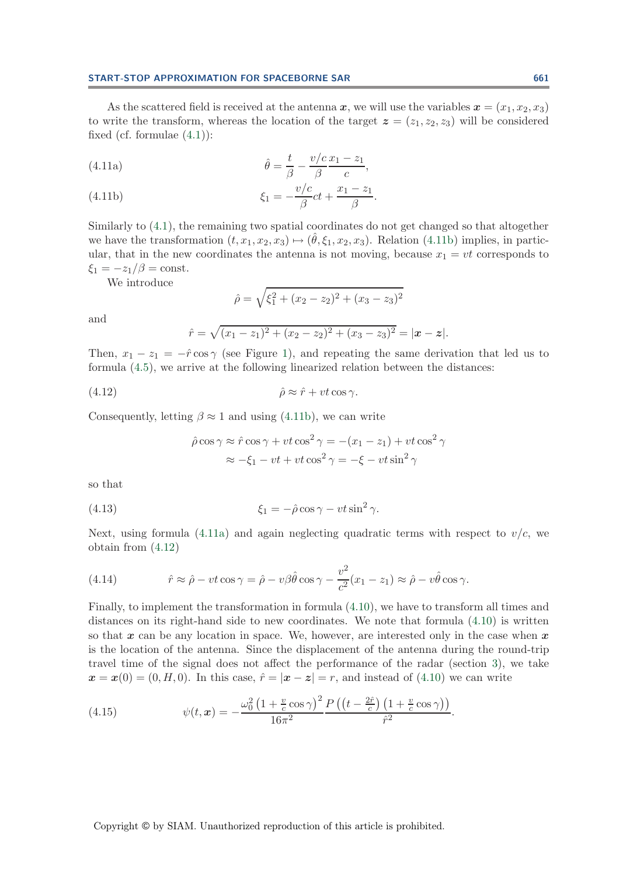As the scattered field is received at the antenna x, we will use the variables  $x = (x_1, x_2, x_3)$ to write the transform, whereas the location of the target  $z = (z_1, z_2, z_3)$  will be considered fixed (cf. formulae  $(4.1)$ ):

<span id="page-15-0"></span>(4.11a) 
$$
\hat{\theta} = \frac{t}{\beta} - \frac{v/c}{\beta} \frac{x_1 - z_1}{c},
$$

(4.11b) 
$$
\xi_1 = -\frac{v/c}{\beta}ct + \frac{x_1 - z_1}{\beta}.
$$

Similarly to [\(4.1\)](#page-12-0), the remaining two spatial coordinates do not get changed so that altogether we have the transformation  $(t, x_1, x_2, x_3) \mapsto (\hat{\theta}, \xi_1, x_2, x_3)$ . Relation [\(4.11b\)](#page-15-0) implies, in particular, that in the new coordinates the antenna is not moving, because  $x_1 = vt$  corresponds to  $\xi_1 = -z_1/\beta = \text{const.}$ 

We introduce

<span id="page-15-1"></span>
$$
\hat{\rho} = \sqrt{\xi_1^2 + (x_2 - z_2)^2 + (x_3 - z_3)^2}
$$

and

$$
\hat{r} = \sqrt{(x_1 - z_1)^2 + (x_2 - z_2)^2 + (x_3 - z_3)^2} = |\boldsymbol{x} - \boldsymbol{z}|.
$$

Then,  $x_1 - z_1 = -\hat{r} \cos \gamma$  (see Figure [1\)](#page-6-0), and repeating the same derivation that led us to formula [\(4.5\)](#page-13-2), we arrive at the following linearized relation between the distances:

$$
(4.12) \qquad \qquad \hat{\rho} \approx \hat{r} + vt \cos \gamma.
$$

Consequently, letting  $\beta \approx 1$  and using [\(4.11b\)](#page-15-0), we can write

<span id="page-15-3"></span>
$$
\hat{\rho}\cos\gamma \approx \hat{r}\cos\gamma + vt\cos^2\gamma = -(x_1 - z_1) + vt\cos^2\gamma
$$

$$
\approx -\xi_1 - vt + vt\cos^2\gamma = -\xi - vt\sin^2\gamma
$$

<span id="page-15-4"></span>so that

(4.13) 
$$
\xi_1 = -\hat{\rho}\cos\gamma - vt\sin^2\gamma.
$$

<span id="page-15-2"></span>Next, using formula [\(4.11a\)](#page-15-0) and again neglecting quadratic terms with respect to  $v/c$ , we obtain from [\(4.12\)](#page-15-1)

(4.14) 
$$
\hat{r} \approx \hat{\rho} - vt \cos \gamma = \hat{\rho} - v\beta \hat{\theta} \cos \gamma - \frac{v^2}{c^2} (x_1 - z_1) \approx \hat{\rho} - v \hat{\theta} \cos \gamma.
$$

Finally, to implement the transformation in formula [\(4.10\)](#page-14-2), we have to transform all times and distances on its right-hand side to new coordinates. We note that formula  $(4.10)$  is written so that *x* can be any location in space. We, however, are interested only in the case when *x* is the location of the antenna. Since the displacement of the antenna during the round-trip travel time of the signal does not affect the performance of the radar (section [3\)](#page-5-0), we take  $\mathbf{x} = \mathbf{x}(0) = (0, H, 0)$ . In this case,  $\hat{r} = |\mathbf{x} - \mathbf{z}| = r$ , and instead of [\(4.10\)](#page-14-2) we can write

(4.15) 
$$
\psi(t, x) = -\frac{\omega_0^2 \left(1 + \frac{v}{c} \cos \gamma\right)^2 P\left(\left(t - \frac{2\hat{r}}{c}\right) \left(1 + \frac{v}{c} \cos \gamma\right)\right)}{16\pi^2}.
$$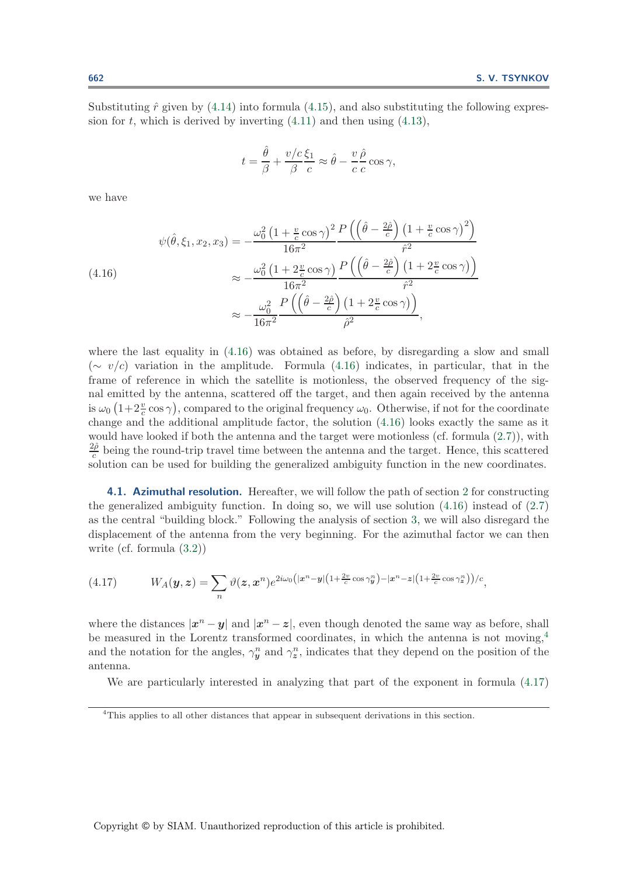Substituting  $\hat{r}$  given by [\(4.14\)](#page-15-2) into formula [\(4.15\)](#page-15-3), and also substituting the following expression for t, which is derived by inverting  $(4.11)$  and then using  $(4.13)$ ,

$$
t = \frac{\hat{\theta}}{\beta} + \frac{v/c}{\beta} \frac{\xi_1}{c} \approx \hat{\theta} - \frac{v}{c} \frac{\hat{\rho}}{c} \cos \gamma,
$$

<span id="page-16-0"></span>we have

$$
\psi(\hat{\theta}, \xi_1, x_2, x_3) = -\frac{\omega_0^2 \left(1 + \frac{v}{c} \cos \gamma\right)^2 P\left(\left(\hat{\theta} - \frac{2\hat{\rho}}{c}\right) \left(1 + \frac{v}{c} \cos \gamma\right)^2\right)}{16\pi^2}
$$
\n
$$
\approx -\frac{\omega_0^2 \left(1 + 2\frac{v}{c} \cos \gamma\right) P\left(\left(\hat{\theta} - \frac{2\hat{\rho}}{c}\right) \left(1 + 2\frac{v}{c} \cos \gamma\right)\right)}{16\pi^2}
$$
\n
$$
\approx -\frac{\omega_0^2}{16\pi^2} \frac{P\left(\left(\hat{\theta} - \frac{2\hat{\rho}}{c}\right) \left(1 + 2\frac{v}{c} \cos \gamma\right)\right)}{\hat{\rho}^2},
$$
\n(4.16)

where the last equality in [\(4.16\)](#page-16-0) was obtained as before, by disregarding a slow and small  $({\sim v/c})$  variation in the amplitude. Formula [\(4.16\)](#page-16-0) indicates, in particular, that in the frame of reference in which the satellite is motionless, the observed frequency of the signal emitted by the antenna, scattered off the target, and then again received by the antenna is  $\omega_0$   $(1+2\frac{v}{c}\cos\gamma)$ , compared to the original frequency  $\omega_0$ . Otherwise, if not for the coordinate change and the additional amplitude factor, the solution [\(4.16\)](#page-16-0) looks exactly the same as it would have looked if both the antenna and the target were motionless (cf. formula [\(2.7\)](#page-3-0)), with  $\frac{2\hat{\rho}}{c}$  being the round-trip travel time between the antenna and the target. Hence, this scattered solution can be used for building the generalized ambiguity function in the new coordinates.

**4.1. Azimuthal resolution.** Hereafter, we will follow the path of section [2](#page-1-0) for constructing the generalized ambiguity function. In doing so, we will use solution  $(4.16)$  instead of  $(2.7)$ as the central "building block." Following the analysis of section [3,](#page-5-0) we will also disregard the displacement of the antenna from the very beginning. For the azimuthal factor we can then write (cf. formula [\(3.2\)](#page-5-2))

<span id="page-16-2"></span>(4.17) 
$$
W_A(\mathbf{y}, z) = \sum_n \vartheta(z, x^n) e^{2i\omega_0(|x^n - \mathbf{y}| (1 + \frac{2v}{c} \cos \gamma_{\mathbf{y}}^n) - |x^n - z| (1 + \frac{2v}{c} \cos \gamma_{\mathbf{z}}^n)) / c},
$$

where the distances  $|x^n - y|$  and  $|x^n - z|$ , even though denoted the same way as before, shall be measured in the Lorentz transformed coordinates, in which the antenna is not moving,<sup>[4](#page-16-1)</sup> and the notation for the angles,  $\gamma_y^n$  and  $\gamma_z^n$ , indicates that they depend on the position of the antenna.

We are particularly interested in analyzing that part of the exponent in formula [\(4.17\)](#page-16-2)

<span id="page-16-1"></span><sup>4</sup>This applies to all other distances that appear in subsequent derivations in this section.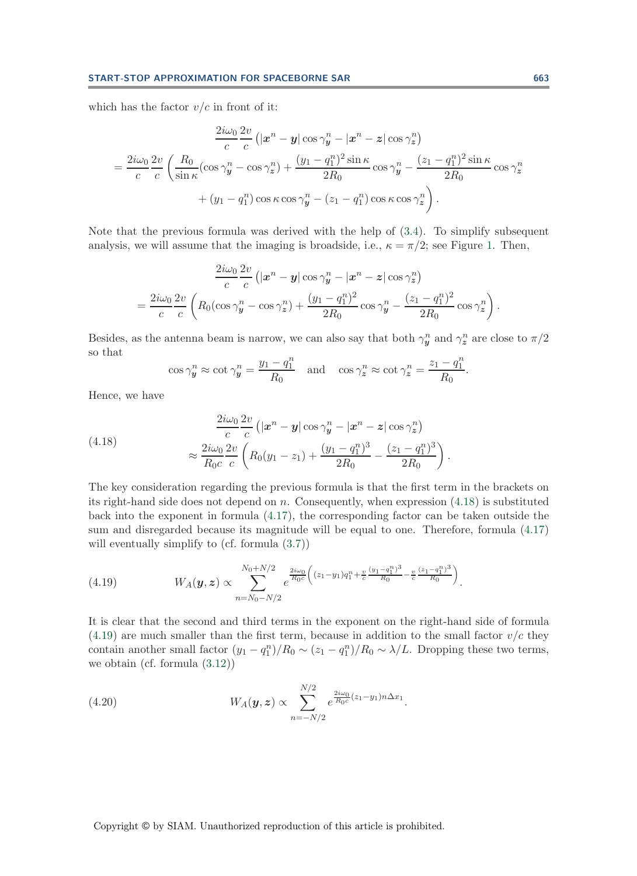which has the factor  $v/c$  in front of it:

$$
\frac{2i\omega_0}{c}\frac{2v}{c}\left(|\mathbf{x}^n-\mathbf{y}|\cos\gamma^n_{\mathbf{y}}-|\mathbf{x}^n-\mathbf{z}|\cos\gamma^n_{\mathbf{z}}\right)
$$

$$
=\frac{2i\omega_0}{c}\frac{2v}{c}\left(\frac{R_0}{\sin\kappa}(\cos\gamma^n_{\mathbf{y}}-\cos\gamma^n_{\mathbf{z}})+\frac{(y_1-q_1^n)^2\sin\kappa}{2R_0}\cos\gamma^n_{\mathbf{y}}-\frac{(z_1-q_1^n)^2\sin\kappa}{2R_0}\cos\gamma^n_{\mathbf{z}}+\left(y_1-q_1^n\right)\cos\kappa\cos\gamma^n_{\mathbf{y}}-\left(z_1-q_1^n\right)\cos\kappa\cos\gamma^n_{\mathbf{z}}\right).
$$

Note that the previous formula was derived with the help of [\(3.4\)](#page-6-1). To simplify subsequent analysis, we will assume that the imaging is broadside, i.e.,  $\kappa = \pi/2$ ; see Figure [1.](#page-6-0) Then,

$$
\frac{2i\omega_0}{c}\frac{2v}{c}\left(|\mathbf{x}^n-\mathbf{y}|\cos\gamma^n_{\mathbf{y}}-|\mathbf{x}^n-\mathbf{z}|\cos\gamma^n_{\mathbf{z}}\right)
$$

$$
=\frac{2i\omega_0}{c}\frac{2v}{c}\left(R_0(\cos\gamma^n_{\mathbf{y}}-\cos\gamma^n_{\mathbf{z}})+\frac{(y_1-q_1^n)^2}{2R_0}\cos\gamma^n_{\mathbf{y}}-\frac{(z_1-q_1^n)^2}{2R_0}\cos\gamma^n_{\mathbf{z}}\right).
$$

Besides, as the antenna beam is narrow, we can also say that both  $\gamma_y^n$  and  $\gamma_z^n$  are close to  $\pi/2$ so that

<span id="page-17-0"></span>
$$
\cos \gamma_y^n \approx \cot \gamma_y^n = \frac{y_1 - q_1^n}{R_0}
$$
 and  $\cos \gamma_z^n \approx \cot \gamma_z^n = \frac{z_1 - q_1^n}{R_0}$ .

Hence, we have

(4.18) 
$$
\frac{2i\omega_0}{c} \frac{2v}{c} \left( |\mathbf{x}^n - \mathbf{y}| \cos \gamma_{\mathbf{y}}^n - |\mathbf{x}^n - \mathbf{z}| \cos \gamma_{\mathbf{z}}^n \right) \n\approx \frac{2i\omega_0}{R_0 c} \frac{2v}{c} \left( R_0 (y_1 - z_1) + \frac{(y_1 - q_1^n)^3}{2R_0} - \frac{(z_1 - q_1^n)^3}{2R_0} \right).
$$

The key consideration regarding the previous formula is that the first term in the brackets on its right-hand side does not depend on n. Consequently, when expression  $(4.18)$  is substituted back into the exponent in formula [\(4.17\)](#page-16-2), the corresponding factor can be taken outside the sum and disregarded because its magnitude will be equal to one. Therefore, formula [\(4.17\)](#page-16-2) will eventually simplify to (cf. formula [\(3.7\)](#page-7-2))

<span id="page-17-1"></span>(4.19) 
$$
W_A(\mathbf{y}, \mathbf{z}) \propto \sum_{n=N_0-N/2}^{N_0+N/2} e^{\frac{2i\omega_0}{R_0 c} \left( (z_1-y_1)q_1^n + \frac{v}{c} \frac{(y_1-q_1^n)^3}{R_0} - \frac{v}{c} \frac{(z_1-q_1^n)^3}{R_0} \right)}.
$$

It is clear that the second and third terms in the exponent on the right-hand side of formula [\(4.19\)](#page-17-1) are much smaller than the first term, because in addition to the small factor  $v/c$  they contain another small factor  $(y_1 - q_1^n)/R_0 \sim (z_1 - q_1^n)/R_0 \sim \lambda/L$ . Dropping these two terms, we obtain (cf. formula [\(3.12\)](#page-9-0))

<span id="page-17-2"></span>(4.20) 
$$
W_A(\mathbf{y}, \mathbf{z}) \propto \sum_{n=-N/2}^{N/2} e^{\frac{2i\omega_0}{R_0 c}(z_1 - y_1) n \Delta x_1}.
$$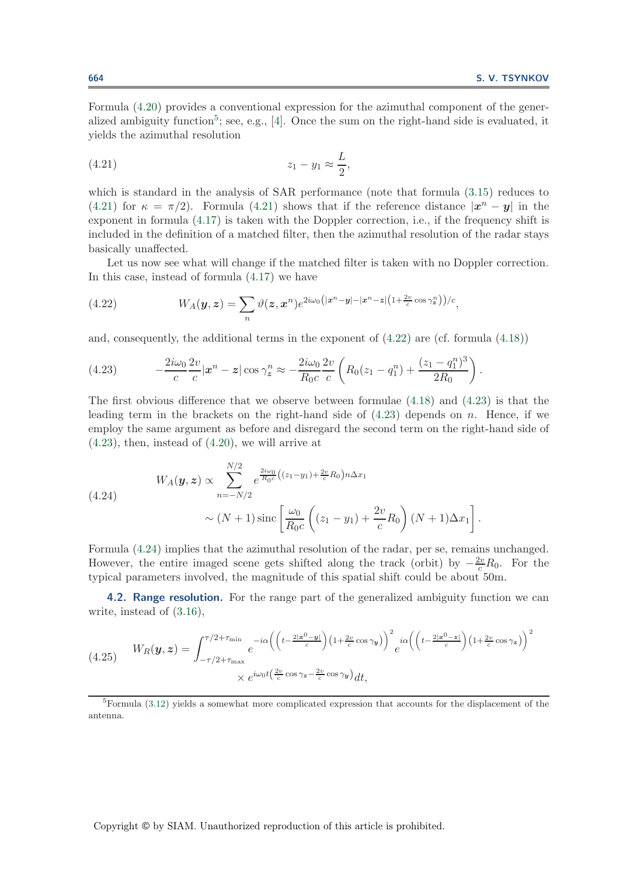Formula [\(4.20\)](#page-17-2) provides a conventional expression for the azimuthal component of the gener-alized ambiguity function<sup>[5](#page-18-0)</sup>; see, e.g., [\[4\]](#page-23-3). Once the sum on the right-hand side is evaluated, it yields the azimuthal resolution

<span id="page-18-1"></span>
$$
(4.21) \t\t\t z_1 - y_1 \approx \frac{L}{2},
$$

which is standard in the analysis of SAR performance (note that formula [\(3.15\)](#page-9-4) reduces to [\(4.21\)](#page-18-1) for  $\kappa = \pi/2$ . Formula (4.21) shows that if the reference distance  $|x^n - y|$  in the exponent in formula [\(4.17\)](#page-16-2) is taken with the Doppler correction, i.e., if the frequency shift is included in the definition of a matched filter, then the azimuthal resolution of the radar stays basically unaffected.

Let us now see what will change if the matched filter is taken with no Doppler correction. In this case, instead of formula [\(4.17\)](#page-16-2) we have

<span id="page-18-2"></span>(4.22) 
$$
W_A(\mathbf{y}, z) = \sum_n \vartheta(z, x^n) e^{2i\omega_0(|x^n - \mathbf{y}| - |x^n - z| (1 + \frac{2v}{c} \cos \gamma_z^n)) / c},
$$

and, consequently, the additional terms in the exponent of  $(4.22)$  are (cf. formula  $(4.18)$ )

<span id="page-18-3"></span>(4.23) 
$$
-\frac{2i\omega_0}{c}\frac{2v}{c}|\boldsymbol{x}^n-\boldsymbol{z}|\cos\gamma_{\boldsymbol{z}}^n\approx -\frac{2i\omega_0}{R_0c}\frac{2v}{c}\left(R_0(z_1-q_1^n)+\frac{(z_1-q_1^n)^3}{2R_0}\right).
$$

The first obvious difference that we observe between formulae  $(4.18)$  and  $(4.23)$  is that the leading term in the brackets on the right-hand side of  $(4.23)$  depends on n. Hence, if we employ the same argument as before and disregard the second term on the right-hand side of  $(4.23)$ , then, instead of  $(4.20)$ , we will arrive at

<span id="page-18-4"></span>(4.24)  

$$
W_A(\mathbf{y}, \mathbf{z}) \propto \sum_{n=-N/2}^{N/2} e^{\frac{2i\omega_0}{R_0 c}((z_1 - y_1) + \frac{2v}{c}R_0)n\Delta x_1} \sim (N+1)\operatorname{sinc}\left[\frac{\omega_0}{R_0 c}\left((z_1 - y_1) + \frac{2v}{c}R_0\right)(N+1)\Delta x_1\right].
$$

Formula [\(4.24\)](#page-18-4) implies that the azimuthal resolution of the radar, per se, remains unchanged. However, the entire imaged scene gets shifted along the track (orbit) by  $-\frac{2v}{c}R_0$ . For the typical parameters involved, the magnitude of this spatial shift could be about 50m.

<span id="page-18-5"></span>**4.2. Range resolution.** For the range part of the generalized ambiguity function we can write, instead of [\(3.16\)](#page-10-0),

$$
(4.25) \quad W_R(\mathbf{y}, \mathbf{z}) = \int_{-\tau/2 + \tau_{\text{max}}}^{\tau/2 + \tau_{\text{min}}} e^{-i\alpha \left( \left( t - \frac{2|\mathbf{x}^0 - \mathbf{y}|}{c} \right) \left( 1 + \frac{2v}{c} \cos \gamma_{\mathbf{y}} \right) \right)^2} e^{i\alpha \left( \left( t - \frac{2|\mathbf{x}^0 - \mathbf{z}|}{c} \right) \left( 1 + \frac{2v}{c} \cos \gamma_{\mathbf{z}} \right) \right)^2} \times e^{i\omega_0 t \left( \frac{2v}{c} \cos \gamma_{\mathbf{z}} - \frac{2v}{c} \cos \gamma_{\mathbf{y}} \right)} dt,
$$

<span id="page-18-0"></span> ${}^{5}$ Formula [\(3.12\)](#page-9-0) yields a somewhat more complicated expression that accounts for the displacement of the antenna.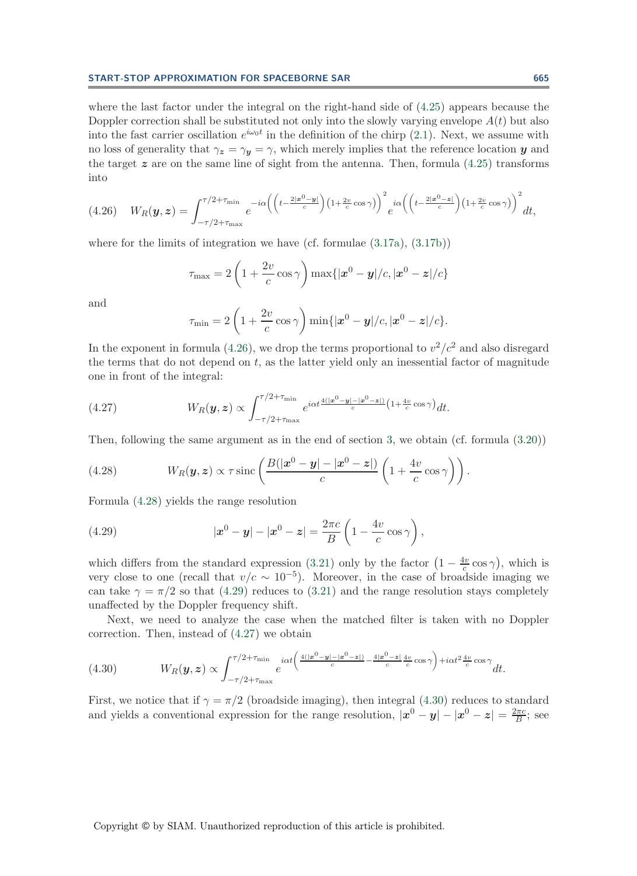where the last factor under the integral on the right-hand side of [\(4.25\)](#page-18-5) appears because the Doppler correction shall be substituted not only into the slowly varying envelope  $A(t)$  but also into the fast carrier oscillation  $e^{i\omega_0 t}$  in the definition of the chirp [\(2.1\)](#page-2-0). Next, we assume with no loss of generality that  $\gamma_z = \gamma_y = \gamma$ , which merely implies that the reference location *y* and the target  $z$  are on the same line of sight from the antenna. Then, formula  $(4.25)$  transforms into

<span id="page-19-0"></span>
$$
(4.26) \quad W_R(\mathbf{y}, \mathbf{z}) = \int_{-\tau/2 + \tau_{\text{max}}}^{\tau/2 + \tau_{\text{min}}} e^{-i\alpha} \left( \left( t - \frac{2|\mathbf{x}^0 - \mathbf{y}|}{c} \right) \left( 1 + \frac{2v}{c} \cos \gamma \right) \right)^2 e^{i\alpha} \left( \left( t - \frac{2|\mathbf{x}^0 - \mathbf{z}|}{c} \right) \left( 1 + \frac{2v}{c} \cos \gamma \right) \right)^2 dt,
$$

where for the limits of integration we have (cf. formulae  $(3.17a)$ ,  $(3.17b)$ )

$$
\tau_{\max} = 2\left(1 + \frac{2v}{c}\cos\gamma\right)\max\{|x^0 - y|/c, |x^0 - z|/c\}
$$

and

<span id="page-19-3"></span><span id="page-19-1"></span>
$$
\tau_{\min} = 2\left(1 + \frac{2v}{c}\cos\gamma\right)\min\{|x^0 - y|/c, |x^0 - z|/c\}.
$$

In the exponent in formula [\(4.26\)](#page-19-0), we drop the terms proportional to  $v^2/c^2$  and also disregard the terms that do not depend on  $t$ , as the latter yield only an inessential factor of magnitude one in front of the integral:

(4.27) 
$$
W_R(\mathbf{y}, \mathbf{z}) \propto \int_{-\tau/2 + \tau_{\text{max}}}^{\tau/2 + \tau_{\text{min}}} e^{i\alpha t \frac{4(|\mathbf{x}^0 - \mathbf{y}| - |\mathbf{x}^0 - \mathbf{z}|)}{c} \left(1 + \frac{4v}{c} \cos \gamma\right)} dt.
$$

Then, following the same argument as in the end of section [3,](#page-5-0) we obtain (cf. formula [\(3.20\)](#page-11-1))

(4.28) 
$$
W_R(\boldsymbol{y}, \boldsymbol{z}) \propto \tau \operatorname{sinc}\left(\frac{B(|\boldsymbol{x}^0 - \boldsymbol{y}| - |\boldsymbol{x}^0 - \boldsymbol{z}|)}{c}\left(1 + \frac{4v}{c}\cos\gamma\right)\right).
$$

Formula [\(4.28\)](#page-19-1) yields the range resolution

<span id="page-19-2"></span>(4.29) 
$$
|\boldsymbol{x}^0 - \boldsymbol{y}| - |\boldsymbol{x}^0 - \boldsymbol{z}| = \frac{2\pi c}{B} \left( 1 - \frac{4v}{c} \cos \gamma \right),
$$

which differs from the standard expression [\(3.21\)](#page-11-2) only by the factor  $\left(1 - \frac{4v}{c} \cos \gamma\right)$ , which is very close to one (recall that  $v/c \sim 10^{-5}$ ). Moreover, in the case of broadside imaging we can take  $\gamma = \pi/2$  so that [\(4.29\)](#page-19-2) reduces to [\(3.21\)](#page-11-2) and the range resolution stays completely unaffected by the Doppler frequency shift.

Next, we need to analyze the case when the matched filter is taken with no Doppler correction. Then, instead of [\(4.27\)](#page-19-3) we obtain

<span id="page-19-4"></span>
$$
(4.30) \tW_R(\mathbf{y},\mathbf{z}) \propto \int_{-\tau/2+\tau_{\text{max}}}^{\tau/2+\tau_{\text{min}}} e^{i\alpha t \left(\frac{4(|x^0-\mathbf{y}|-|x^0-\mathbf{z}|)}{c}-\frac{4|x^0-\mathbf{z}|}{c}\frac{4v}{c}\cos\gamma\right)+i\alpha t^2\frac{4v}{c}\cos\gamma} dt.
$$

First, we notice that if  $\gamma = \pi/2$  (broadside imaging), then integral [\(4.30\)](#page-19-4) reduces to standard and yields a conventional expression for the range resolution,  $|\mathbf{x}^0 - \mathbf{y}| - |\mathbf{x}^0 - \mathbf{z}| = \frac{2\pi c}{B}$ ; see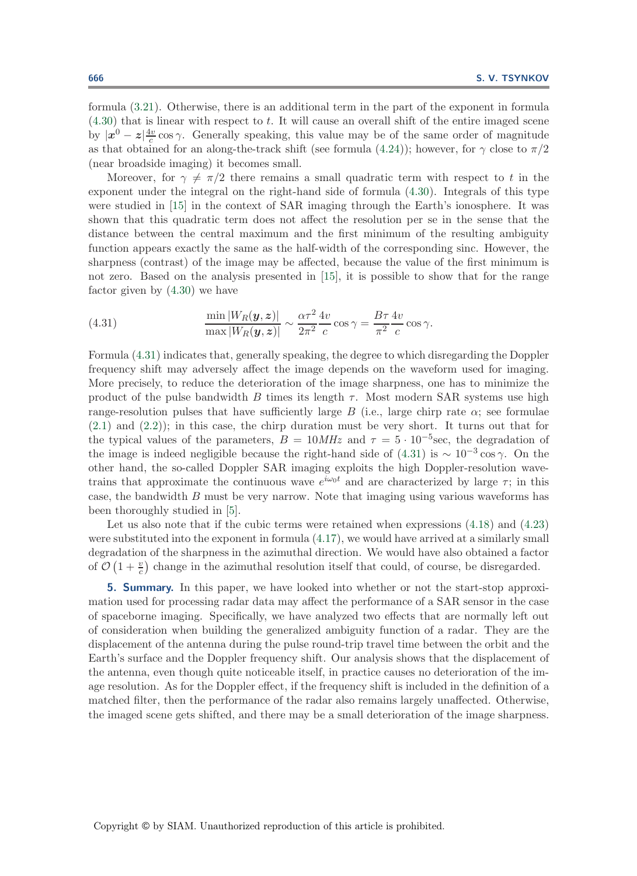formula [\(3.21\)](#page-11-2). Otherwise, there is an additional term in the part of the exponent in formula [\(4.30\)](#page-19-4) that is linear with respect to t. It will cause an overall shift of the entire imaged scene by  $|x^0 - z| \frac{dv}{c} \cos \gamma$ . Generally speaking, this value may be of the same order of magnitude as that obtained for an along-the-track shift (see formula [\(4.24\)](#page-18-4)); however, for  $\gamma$  close to  $\pi/2$ (near broadside imaging) it becomes small.

Moreover, for  $\gamma \neq \pi/2$  there remains a small quadratic term with respect to t in the exponent under the integral on the right-hand side of formula [\(4.30\)](#page-19-4). Integrals of this type were studied in [\[15\]](#page-23-8) in the context of SAR imaging through the Earth's ionosphere. It was shown that this quadratic term does not affect the resolution per se in the sense that the distance between the central maximum and the first minimum of the resulting ambiguity function appears exactly the same as the half-width of the corresponding sinc. However, the sharpness (contrast) of the image may be affected, because the value of the first minimum is not zero. Based on the analysis presented in [\[15\]](#page-23-8), it is possible to show that for the range factor given by [\(4.30\)](#page-19-4) we have

<span id="page-20-0"></span>(4.31) 
$$
\frac{\min |W_R(\boldsymbol{y}, \boldsymbol{z})|}{\max |W_R(\boldsymbol{y}, \boldsymbol{z})|} \sim \frac{\alpha \tau^2}{2\pi^2} \frac{4v}{c} \cos \gamma = \frac{B\tau}{\pi^2} \frac{4v}{c} \cos \gamma.
$$

Formula [\(4.31\)](#page-20-0) indicates that, generally speaking, the degree to which disregarding the Doppler frequency shift may adversely affect the image depends on the waveform used for imaging. More precisely, to reduce the deterioration of the image sharpness, one has to minimize the product of the pulse bandwidth B times its length  $\tau$ . Most modern SAR systems use high range-resolution pulses that have sufficiently large B (i.e., large chirp rate  $\alpha$ ; see formulae  $(2.1)$  and  $(2.2)$ ; in this case, the chirp duration must be very short. It turns out that for the typical values of the parameters,  $B = 10 MHz$  and  $\tau = 5 \cdot 10^{-5}$  sec, the degradation of the image is indeed negligible because the right-hand side of  $(4.31)$  is  $\sim 10^{-3} \cos \gamma$ . On the other hand, the so-called Doppler SAR imaging exploits the high Doppler-resolution wavetrains that approximate the continuous wave  $e^{i\omega_0 t}$  and are characterized by large  $\tau$ ; in this case, the bandwidth  $B$  must be very narrow. Note that imaging using various waveforms has been thoroughly studied in [\[5\]](#page-23-6).

Let us also note that if the cubic terms were retained when expressions [\(4.18\)](#page-17-0) and [\(4.23\)](#page-18-3) were substituted into the exponent in formula [\(4.17\)](#page-16-2), we would have arrived at a similarly small degradation of the sharpness in the azimuthal direction. We would have also obtained a factor of  $\mathcal{O}\left(1+\frac{v}{c}\right)$  change in the azimuthal resolution itself that could, of course, be disregarded.

**5. Summary.** In this paper, we have looked into whether or not the start-stop approximation used for processing radar data may affect the performance of a SAR sensor in the case of spaceborne imaging. Specifically, we have analyzed two effects that are normally left out of consideration when building the generalized ambiguity function of a radar. They are the displacement of the antenna during the pulse round-trip travel time between the orbit and the Earth's surface and the Doppler frequency shift. Our analysis shows that the displacement of the antenna, even though quite noticeable itself, in practice causes no deterioration of the image resolution. As for the Doppler effect, if the frequency shift is included in the definition of a matched filter, then the performance of the radar also remains largely unaffected. Otherwise, the imaged scene gets shifted, and there may be a small deterioration of the image sharpness.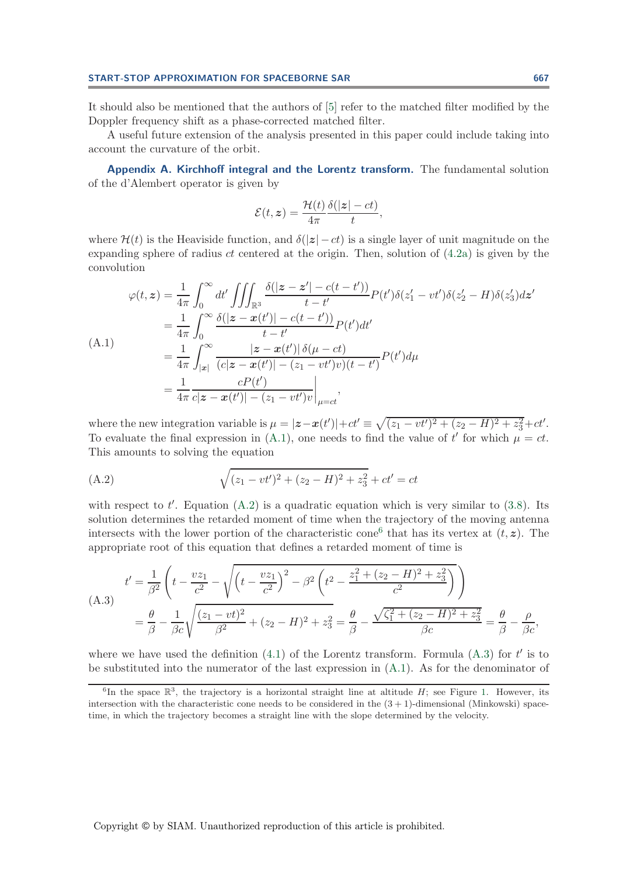It should also be mentioned that the authors of [\[5\]](#page-23-6) refer to the matched filter modified by the Doppler frequency shift as a phase-corrected matched filter.

<span id="page-21-0"></span>A useful future extension of the analysis presented in this paper could include taking into account the curvature of the orbit.

**Appendix A. Kirchhoff integral and the Lorentz transform.** The fundamental solution of the d'Alembert operator is given by

$$
\mathcal{E}(t, z) = \frac{\mathcal{H}(t)}{4\pi} \frac{\delta(|z| - ct)}{t},
$$

where  $\mathcal{H}(t)$  is the Heaviside function, and  $\delta(|z| - ct)$  is a single layer of unit magnitude on the expanding sphere of radius ct centered at the origin. Then, solution of  $(4.2a)$  is given by the convolution

<span id="page-21-1"></span>
$$
\varphi(t, z) = \frac{1}{4\pi} \int_0^\infty dt' \iiint_{\mathbb{R}^3} \frac{\delta(|z - z'| - c(t - t'))}{t - t'} P(t') \delta(z'_1 - vt') \delta(z'_2 - H) \delta(z'_3) dz'
$$
  
\n
$$
= \frac{1}{4\pi} \int_0^\infty \frac{\delta(|z - x(t')| - c(t - t'))}{t - t'} P(t') dt'
$$
  
\n(A.1)  
\n
$$
= \frac{1}{4\pi} \int_{|x|}^\infty \frac{|z - x(t')| \delta(\mu - ct)}{(c|z - x(t')| - (z_1 - vt')v)(t - t')} P(t') d\mu
$$
  
\n
$$
= \frac{1}{4\pi} \frac{cP(t')}{c|z - x(t')| - (z_1 - vt')v} \Big|_{\mu = ct},
$$

where the new integration variable is  $\mu = |z - x(t')| + ct' \equiv \sqrt{(z_1 - vt')^2 + (z_2 - H)^2 + z_3^2} + ct'$ . To evaluate the final expression in [\(A.1\)](#page-21-1), one needs to find the value of t' for which  $\mu = ct$ . This amounts to solving the equation

<span id="page-21-2"></span>(A.2) 
$$
\sqrt{(z_1 - vt')^2 + (z_2 - H)^2 + z_3^2} + ct' = ct
$$

with respect to  $t'$ . Equation [\(A.2\)](#page-21-2) is a quadratic equation which is very similar to [\(3.8\)](#page-8-3). Its solution determines the retarded moment of time when the trajectory of the moving antenna intersects with the lower portion of the characteristic cone<sup>[6](#page-21-3)</sup> that has its vertex at  $(t, z)$ . The appropriate root of this equation that defines a retarded moment of time is

<span id="page-21-4"></span>
$$
t' = \frac{1}{\beta^2} \left( t - \frac{v z_1}{c^2} - \sqrt{\left( t - \frac{v z_1}{c^2} \right)^2 - \beta^2 \left( t^2 - \frac{z_1^2 + (z_2 - H)^2 + z_3^2}{c^2} \right)} \right)
$$
  
(A.3)  

$$
= \frac{\theta}{\beta} - \frac{1}{\beta c} \sqrt{\frac{(z_1 - vt)^2}{\beta^2} + (z_2 - H)^2 + z_3^2} = \frac{\theta}{\beta} - \frac{\sqrt{\zeta_1^2 + (z_2 - H)^2 + z_3^2}}{\beta c}} = \frac{\theta}{\beta} - \frac{\rho}{\beta c},
$$

where we have used the definition  $(4.1)$  of the Lorentz transform. Formula  $(A.3)$  for  $t'$  is to be substituted into the numerator of the last expression in [\(A.1\)](#page-21-1). As for the denominator of

<span id="page-21-3"></span><sup>&</sup>lt;sup>6</sup>In the space  $\mathbb{R}^3$ , the trajectory is a horizontal straight line at altitude H; see Figure [1.](#page-6-0) However, its intersection with the characteristic cone needs to be considered in the  $(3 + 1)$ -dimensional (Minkowski) spacetime, in which the trajectory becomes a straight line with the slope determined by the velocity.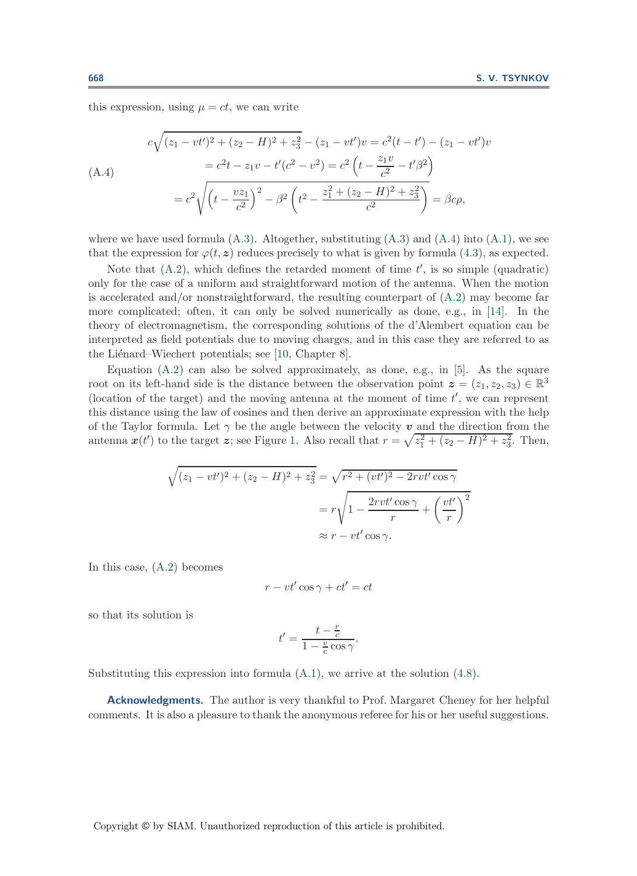<span id="page-22-0"></span>this expression, using  $\mu = ct$ , we can write

$$
c\sqrt{(z_1 - vt')^2 + (z_2 - H)^2 + z_3^2} - (z_1 - vt')v = c^2(t - t') - (z_1 - vt')v
$$
  
\n(A.4)  
\n
$$
= c^2t - z_1v - t'(c^2 - v^2) = c^2\left(t - \frac{z_1v}{c^2} - t'\beta^2\right)
$$
  
\n
$$
= c^2\sqrt{\left(t - \frac{v z_1}{c^2}\right)^2 - \beta^2\left(t^2 - \frac{z_1^2 + (z_2 - H)^2 + z_3^2}{c^2}\right)} = \beta c\rho,
$$

where we have used formula  $(A.3)$ . Altogether, substituting  $(A.3)$  and  $(A.4)$  into  $(A.1)$ , we see that the expression for  $\varphi(t, z)$  reduces precisely to what is given by formula [\(4.3\)](#page-13-0), as expected.

Note that  $(A.2)$ , which defines the retarded moment of time  $t'$ , is so simple (quadratic) only for the case of a uniform and straightforward motion of the antenna. When the motion is accelerated and/or nonstraightforward, the resulting counterpart of  $(A.2)$  may become far more complicated; often, it can only be solved numerically as done, e.g., in [\[14\]](#page-23-14). In the theory of electromagnetism, the corresponding solutions of the d'Alembert equation can be interpreted as field potentials due to moving charges, and in this case they are referred to as the Liénard–Wiechert potentials; see  $[10,$  Chapter 8].

Equation  $(A.2)$  can also be solved approximately, as done, e.g., in [\[5\]](#page-23-6). As the square root on its left-hand side is the distance between the observation point  $z = (z_1, z_2, z_3) \in \mathbb{R}^3$ (location of the target) and the moving antenna at the moment of time  $t'$ , we can represent this distance using the law of cosines and then derive an approximate expression with the help of the Taylor formula. Let  $\gamma$  be the angle between the velocity  $\boldsymbol{v}$  and the direction from the antenna  $\mathbf{x}(t')$  to the target *z*; see Figure [1.](#page-6-0) Also recall that  $r = \sqrt{z_1^2 + (z_2 - H)^2 + z_3^2}$ . Then,

$$
\sqrt{(z_1 - vt')^2 + (z_2 - H)^2 + z_3^2} = \sqrt{r^2 + (vt')^2 - 2rvt'\cos\gamma}
$$

$$
= r\sqrt{1 - \frac{2rvt'\cos\gamma}{r} + \left(\frac{vt'}{r}\right)^2}
$$

$$
\approx r - vt'\cos\gamma.
$$

In this case, [\(A.2\)](#page-21-2) becomes

$$
r - vt' \cos \gamma + ct' = ct
$$

so that its solution is

$$
t' = \frac{t - \frac{r}{c}}{1 - \frac{v}{c}\cos\gamma}.
$$

Substituting this expression into formula  $(A.1)$ , we arrive at the solution  $(4.8)$ .

**Acknowledgments.** The author is very thankful to Prof. Margaret Cheney for her helpful comments. It is also a pleasure to thank the anonymous referee for his or her useful suggestions.